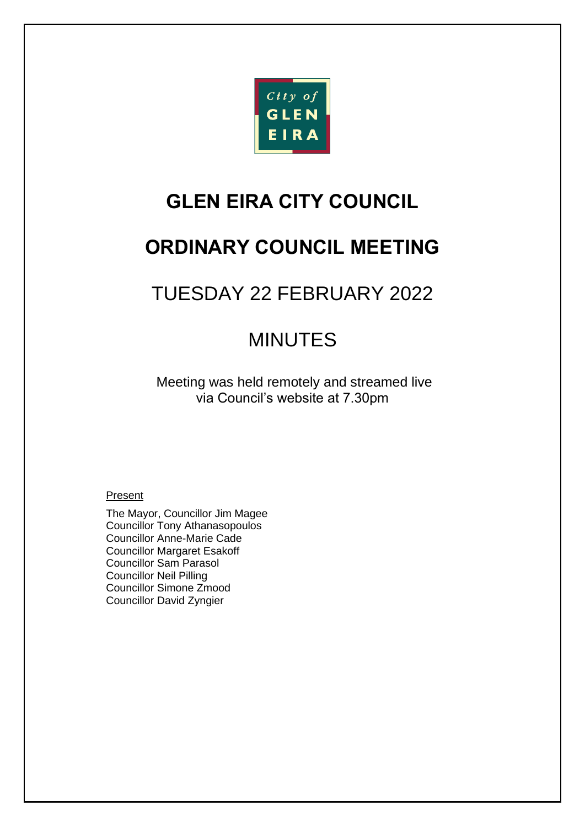

# **GLEN EIRA CITY COUNCIL**

# **ORDINARY COUNCIL MEETING**

# TUESDAY 22 FEBRUARY 2022

# MINUTES

Meeting was held remotely and streamed live via Council's website at 7.30pm

## Present

The Mayor, Councillor Jim Magee Councillor Tony Athanasopoulos Councillor Anne-Marie Cade Councillor Margaret Esakoff Councillor Sam Parasol Councillor Neil Pilling Councillor Simone Zmood Councillor David Zyngier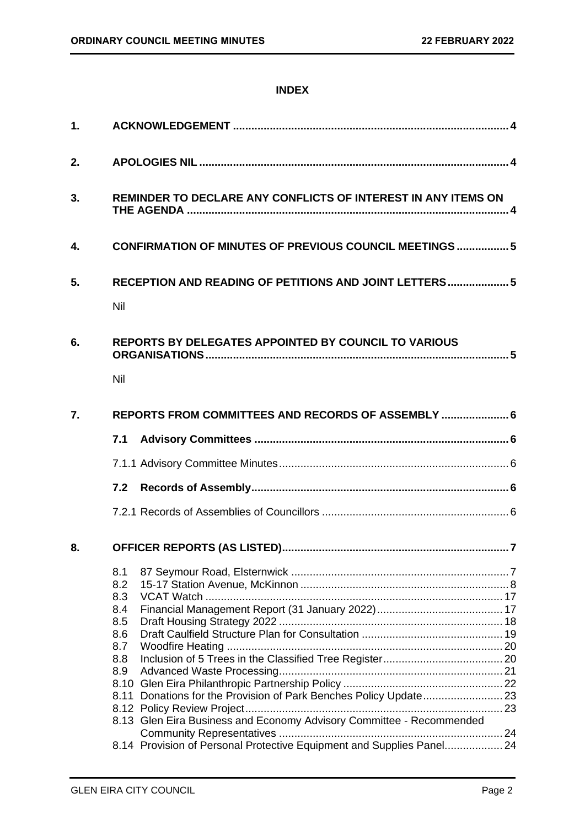## **INDEX**

| 1. |                                                                                                                                                                                                                     |  |  |
|----|---------------------------------------------------------------------------------------------------------------------------------------------------------------------------------------------------------------------|--|--|
| 2. |                                                                                                                                                                                                                     |  |  |
| 3. | REMINDER TO DECLARE ANY CONFLICTS OF INTEREST IN ANY ITEMS ON                                                                                                                                                       |  |  |
| 4. | <b>CONFIRMATION OF MINUTES OF PREVIOUS COUNCIL MEETINGS  5</b>                                                                                                                                                      |  |  |
| 5. | RECEPTION AND READING OF PETITIONS AND JOINT LETTERS 5<br>Nil                                                                                                                                                       |  |  |
| 6. | <b>REPORTS BY DELEGATES APPOINTED BY COUNCIL TO VARIOUS</b><br>Nil                                                                                                                                                  |  |  |
| 7. | REPORTS FROM COMMITTEES AND RECORDS OF ASSEMBLY  6                                                                                                                                                                  |  |  |
|    | 7.1                                                                                                                                                                                                                 |  |  |
|    |                                                                                                                                                                                                                     |  |  |
|    | 7.2                                                                                                                                                                                                                 |  |  |
|    |                                                                                                                                                                                                                     |  |  |
| 8. |                                                                                                                                                                                                                     |  |  |
|    | 8.1<br>8.2<br>8.3<br>8.4<br>8.5<br>8.6<br>8.7<br>8.8<br>8.9<br>8.10<br>Donations for the Provision of Park Benches Policy Update 23<br>8.11<br>8.13 Glen Eira Business and Economy Advisory Committee - Recommended |  |  |
|    | 8.14 Provision of Personal Protective Equipment and Supplies Panel 24                                                                                                                                               |  |  |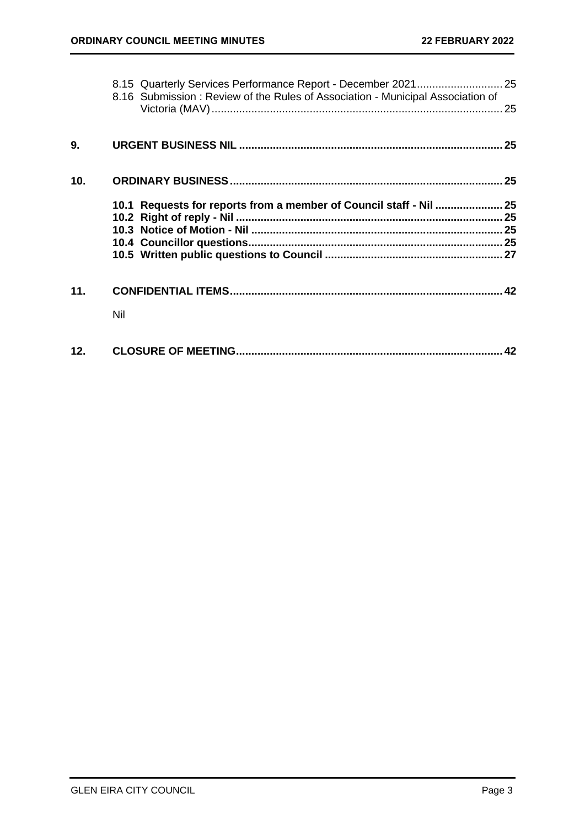|                 | 8.16 Submission: Review of the Rules of Association - Municipal Association of |  |
|-----------------|--------------------------------------------------------------------------------|--|
|                 |                                                                                |  |
| 9.              |                                                                                |  |
| 10 <sub>1</sub> |                                                                                |  |
|                 | 10.1 Requests for reports from a member of Council staff - Nil  25             |  |
|                 |                                                                                |  |
|                 |                                                                                |  |
|                 |                                                                                |  |
|                 |                                                                                |  |
| 11.             |                                                                                |  |
|                 | Nil                                                                            |  |
| 12.             |                                                                                |  |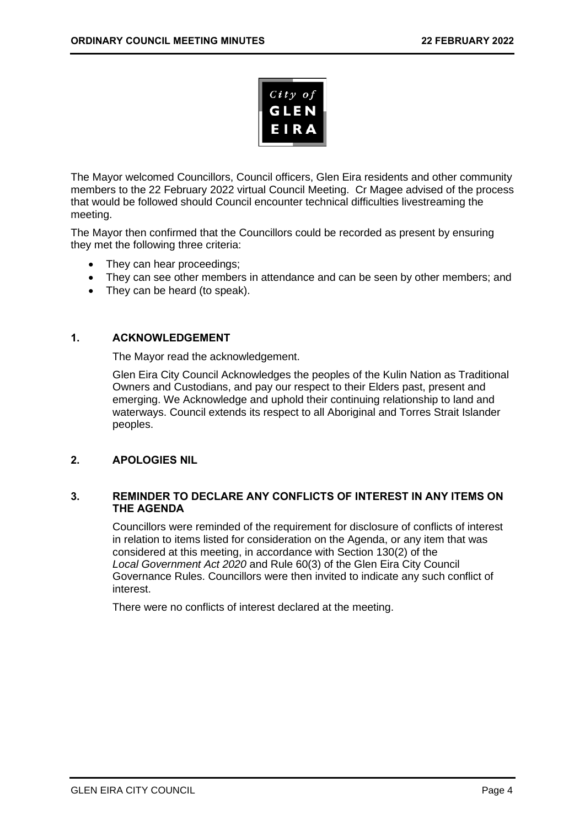

The Mayor welcomed Councillors, Council officers, Glen Eira residents and other community members to the 22 February 2022 virtual Council Meeting. Cr Magee advised of the process that would be followed should Council encounter technical difficulties livestreaming the meeting.

The Mayor then confirmed that the Councillors could be recorded as present by ensuring they met the following three criteria:

- They can hear proceedings;
- They can see other members in attendance and can be seen by other members; and
- <span id="page-3-0"></span>• They can be heard (to speak).

## **1. ACKNOWLEDGEMENT**

The Mayor read the acknowledgement.

Glen Eira City Council Acknowledges the peoples of the Kulin Nation as Traditional Owners and Custodians, and pay our respect to their Elders past, present and emerging. We Acknowledge and uphold their continuing relationship to land and waterways. Council extends its respect to all Aboriginal and Torres Strait Islander peoples.

## <span id="page-3-2"></span><span id="page-3-1"></span>**2. APOLOGIES NIL**

## **3. REMINDER TO DECLARE ANY CONFLICTS OF INTEREST IN ANY ITEMS ON THE AGENDA**

Councillors were reminded of the requirement for disclosure of conflicts of interest in relation to items listed for consideration on the Agenda, or any item that was considered at this meeting, in accordance with Section 130(2) of the *Local Government Act 2020* and Rule 60(3) of the Glen Eira City Council Governance Rules. Councillors were then invited to indicate any such conflict of interest.

There were no conflicts of interest declared at the meeting.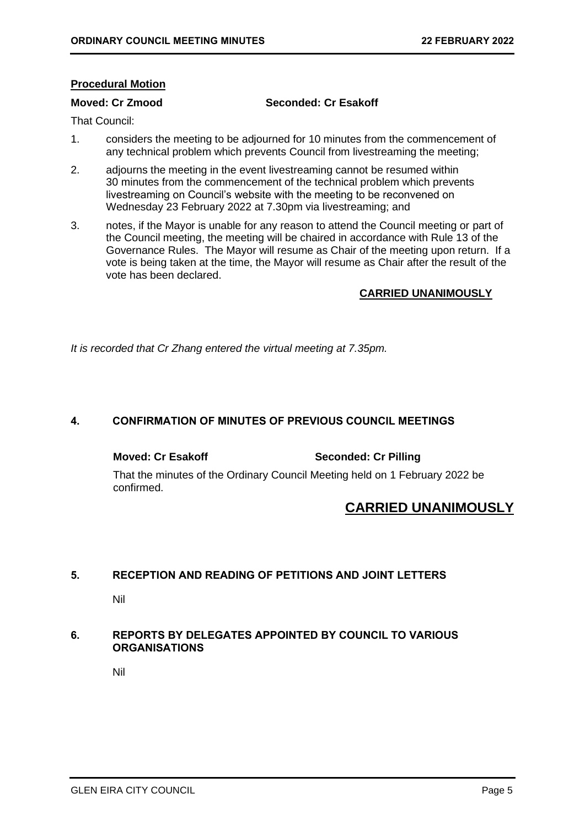## **Procedural Motion**

## **Moved: Cr Zmood Seconded: Cr Esakoff**

That Council:

- 1. considers the meeting to be adjourned for 10 minutes from the commencement of any technical problem which prevents Council from livestreaming the meeting;
- 2. adjourns the meeting in the event livestreaming cannot be resumed within 30 minutes from the commencement of the technical problem which prevents livestreaming on Council's website with the meeting to be reconvened on Wednesday 23 February 2022 at 7.30pm via livestreaming; and
- 3. notes, if the Mayor is unable for any reason to attend the Council meeting or part of the Council meeting, the meeting will be chaired in accordance with Rule 13 of the Governance Rules. The Mayor will resume as Chair of the meeting upon return. If a vote is being taken at the time, the Mayor will resume as Chair after the result of the vote has been declared.

## **CARRIED UNANIMOUSLY**

*It is recorded that Cr Zhang entered the virtual meeting at 7.35pm.*

## <span id="page-4-0"></span>**4. CONFIRMATION OF MINUTES OF PREVIOUS COUNCIL MEETINGS**

**Moved: Cr Esakoff Seconded: Cr Pilling**

That the minutes of the Ordinary Council Meeting held on 1 February 2022 be confirmed.

## **CARRIED UNANIMOUSLY**

## <span id="page-4-2"></span><span id="page-4-1"></span>**5. RECEPTION AND READING OF PETITIONS AND JOINT LETTERS**

Nil

## <span id="page-4-4"></span><span id="page-4-3"></span>**6. REPORTS BY DELEGATES APPOINTED BY COUNCIL TO VARIOUS ORGANISATIONS**

Nil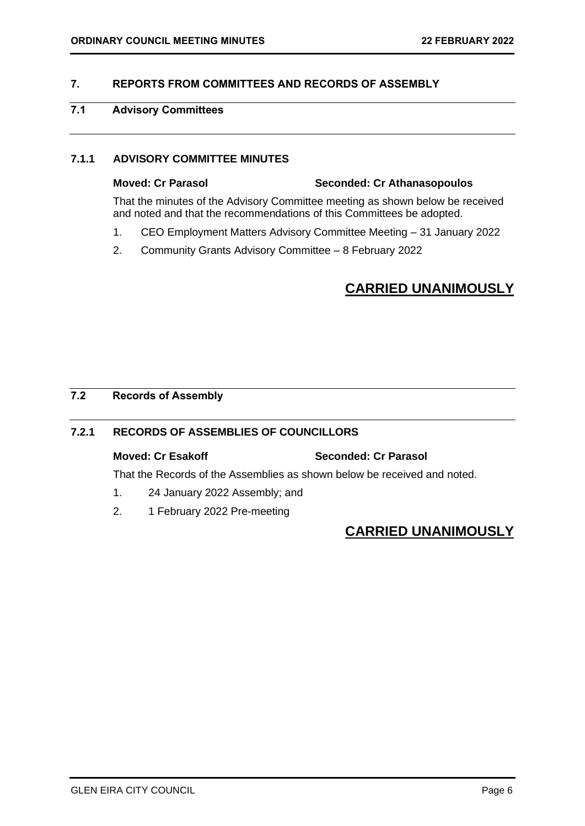## <span id="page-5-2"></span><span id="page-5-0"></span>**7. REPORTS FROM COMMITTEES AND RECORDS OF ASSEMBLY**

## <span id="page-5-1"></span>**7.1 Advisory Committees**

## **7.1.1 ADVISORY COMMITTEE MINUTES**

## **Moved: Cr Parasol Seconded: Cr Athanasopoulos**

That the minutes of the Advisory Committee meeting as shown below be received and noted and that the recommendations of this Committees be adopted.

- 1. CEO Employment Matters Advisory Committee Meeting 31 January 2022
- 2. Community Grants Advisory Committee 8 February 2022

## **CARRIED UNANIMOUSLY**

## <span id="page-5-3"></span>**7.2 Records of Assembly**

## **7.2.1 RECORDS OF ASSEMBLIES OF COUNCILLORS**

## **Moved: Cr Esakoff Seconded: Cr Parasol**

That the Records of the Assemblies as shown below be received and noted.

- 1. 24 January 2022 Assembly; and
- 2. 1 February 2022 Pre-meeting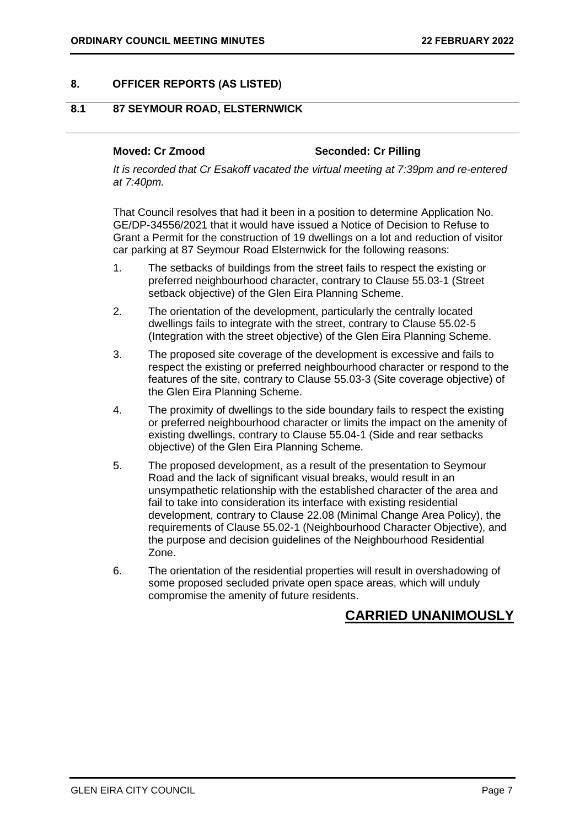## <span id="page-6-1"></span><span id="page-6-0"></span>**8. OFFICER REPORTS (AS LISTED)**

## **8.1 87 SEYMOUR ROAD, ELSTERNWICK**

### **Moved: Cr Zmood Seconded: Cr Pilling**

*It is recorded that Cr Esakoff vacated the virtual meeting at 7:39pm and re-entered at 7:40pm.*

That Council resolves that had it been in a position to determine Application No. GE/DP-34556/2021 that it would have issued a Notice of Decision to Refuse to Grant a Permit for the construction of 19 dwellings on a lot and reduction of visitor car parking at 87 Seymour Road Elsternwick for the following reasons:

- 1. The setbacks of buildings from the street fails to respect the existing or preferred neighbourhood character, contrary to Clause 55.03-1 (Street setback objective) of the Glen Eira Planning Scheme.
- 2. The orientation of the development, particularly the centrally located dwellings fails to integrate with the street, contrary to Clause 55.02-5 (Integration with the street objective) of the Glen Eira Planning Scheme.
- 3. The proposed site coverage of the development is excessive and fails to respect the existing or preferred neighbourhood character or respond to the features of the site, contrary to Clause 55.03-3 (Site coverage objective) of the Glen Eira Planning Scheme.
- 4. The proximity of dwellings to the side boundary fails to respect the existing or preferred neighbourhood character or limits the impact on the amenity of existing dwellings, contrary to Clause 55.04-1 (Side and rear setbacks objective) of the Glen Eira Planning Scheme.
- 5. The proposed development, as a result of the presentation to Seymour Road and the lack of significant visual breaks, would result in an unsympathetic relationship with the established character of the area and fail to take into consideration its interface with existing residential development, contrary to Clause 22.08 (Minimal Change Area Policy), the requirements of Clause 55.02-1 (Neighbourhood Character Objective), and the purpose and decision guidelines of the Neighbourhood Residential Zone.
- 6. The orientation of the residential properties will result in overshadowing of some proposed secluded private open space areas, which will unduly compromise the amenity of future residents.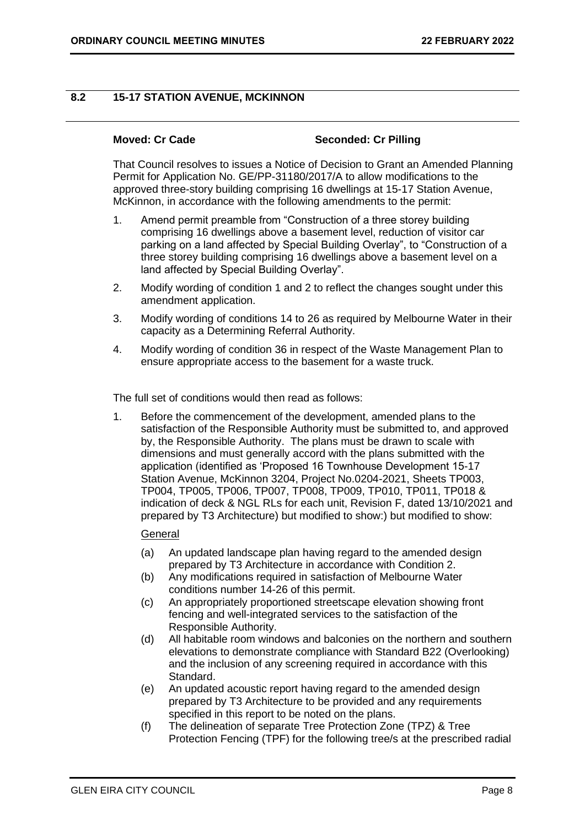## <span id="page-7-0"></span>**8.2 15-17 STATION AVENUE, MCKINNON**

### **Moved: Cr Cade Seconded: Cr Pilling**

That Council resolves to issues a Notice of Decision to Grant an Amended Planning Permit for Application No. GE/PP-31180/2017/A to allow modifications to the approved three-story building comprising 16 dwellings at 15-17 Station Avenue, McKinnon, in accordance with the following amendments to the permit:

- 1. Amend permit preamble from "Construction of a three storey building comprising 16 dwellings above a basement level, reduction of visitor car parking on a land affected by Special Building Overlay", to "Construction of a three storey building comprising 16 dwellings above a basement level on a land affected by Special Building Overlay".
- 2. Modify wording of condition 1 and 2 to reflect the changes sought under this amendment application.
- 3. Modify wording of conditions 14 to 26 as required by Melbourne Water in their capacity as a Determining Referral Authority.
- 4. Modify wording of condition 36 in respect of the Waste Management Plan to ensure appropriate access to the basement for a waste truck.

The full set of conditions would then read as follows:

1. Before the commencement of the development, amended plans to the satisfaction of the Responsible Authority must be submitted to, and approved by, the Responsible Authority. The plans must be drawn to scale with dimensions and must generally accord with the plans submitted with the application (identified as 'Proposed 16 Townhouse Development 15-17 Station Avenue, McKinnon 3204, Project No.0204-2021, Sheets TP003, TP004, TP005, TP006, TP007, TP008, TP009, TP010, TP011, TP018 & indication of deck & NGL RLs for each unit, Revision F, dated 13/10/2021 and prepared by T3 Architecture) but modified to show:) but modified to show:

## General

- (a) An updated landscape plan having regard to the amended design prepared by T3 Architecture in accordance with Condition 2.
- (b) Any modifications required in satisfaction of Melbourne Water conditions number 14-26 of this permit.
- (c) An appropriately proportioned streetscape elevation showing front fencing and well-integrated services to the satisfaction of the Responsible Authority.
- (d) All habitable room windows and balconies on the northern and southern elevations to demonstrate compliance with Standard B22 (Overlooking) and the inclusion of any screening required in accordance with this Standard.
- (e) An updated acoustic report having regard to the amended design prepared by T3 Architecture to be provided and any requirements specified in this report to be noted on the plans.
- (f) The delineation of separate Tree Protection Zone (TPZ) & Tree Protection Fencing (TPF) for the following tree/s at the prescribed radial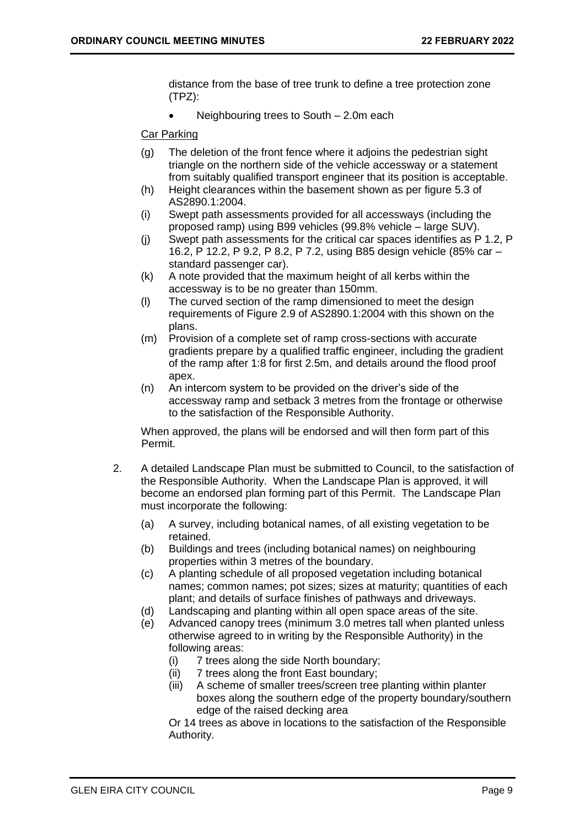distance from the base of tree trunk to define a tree protection zone (TPZ):

• Neighbouring trees to South – 2.0m each

Car Parking

- (g) The deletion of the front fence where it adjoins the pedestrian sight triangle on the northern side of the vehicle accessway or a statement from suitably qualified transport engineer that its position is acceptable.
- (h) Height clearances within the basement shown as per figure 5.3 of AS2890.1:2004.
- (i) Swept path assessments provided for all accessways (including the proposed ramp) using B99 vehicles (99.8% vehicle – large SUV).
- (j) Swept path assessments for the critical car spaces identifies as P 1.2, P 16.2, P 12.2, P 9.2, P 8.2, P 7.2, using B85 design vehicle (85% car – standard passenger car).
- (k) A note provided that the maximum height of all kerbs within the accessway is to be no greater than 150mm.
- (l) The curved section of the ramp dimensioned to meet the design requirements of Figure 2.9 of AS2890.1:2004 with this shown on the plans.
- (m) Provision of a complete set of ramp cross-sections with accurate gradients prepare by a qualified traffic engineer, including the gradient of the ramp after 1:8 for first 2.5m, and details around the flood proof apex.
- (n) An intercom system to be provided on the driver's side of the accessway ramp and setback 3 metres from the frontage or otherwise to the satisfaction of the Responsible Authority.

When approved, the plans will be endorsed and will then form part of this Permit.

- 2. A detailed Landscape Plan must be submitted to Council, to the satisfaction of the Responsible Authority. When the Landscape Plan is approved, it will become an endorsed plan forming part of this Permit. The Landscape Plan must incorporate the following:
	- (a) A survey, including botanical names, of all existing vegetation to be retained.
	- (b) Buildings and trees (including botanical names) on neighbouring properties within 3 metres of the boundary.
	- (c) A planting schedule of all proposed vegetation including botanical names; common names; pot sizes; sizes at maturity; quantities of each plant; and details of surface finishes of pathways and driveways.
	- (d) Landscaping and planting within all open space areas of the site.
	- (e) Advanced canopy trees (minimum 3.0 metres tall when planted unless otherwise agreed to in writing by the Responsible Authority) in the following areas:
		- (i) 7 trees along the side North boundary;
		- (ii) 7 trees along the front East boundary;
		- (iii) A scheme of smaller trees/screen tree planting within planter boxes along the southern edge of the property boundary/southern edge of the raised decking area

Or 14 trees as above in locations to the satisfaction of the Responsible Authority.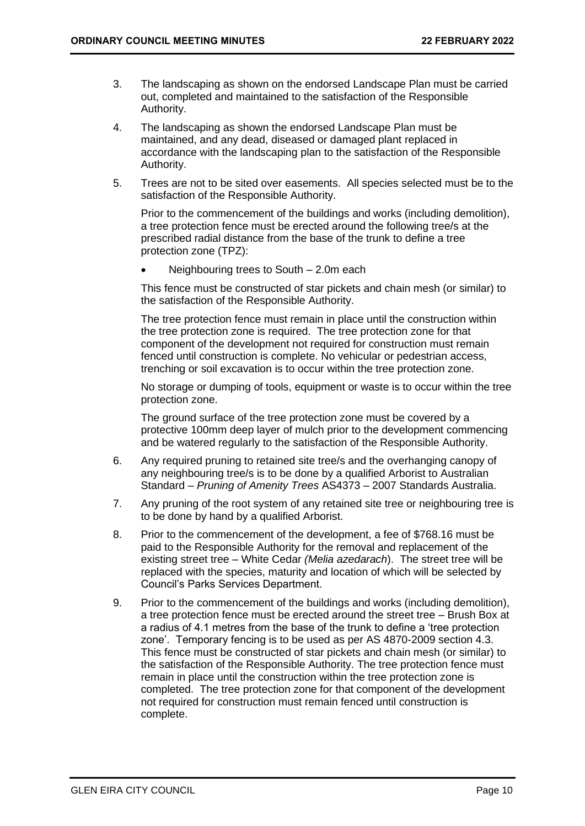- 3. The landscaping as shown on the endorsed Landscape Plan must be carried out, completed and maintained to the satisfaction of the Responsible Authority.
- 4. The landscaping as shown the endorsed Landscape Plan must be maintained, and any dead, diseased or damaged plant replaced in accordance with the landscaping plan to the satisfaction of the Responsible Authority.
- 5. Trees are not to be sited over easements. All species selected must be to the satisfaction of the Responsible Authority.

Prior to the commencement of the buildings and works (including demolition), a tree protection fence must be erected around the following tree/s at the prescribed radial distance from the base of the trunk to define a tree protection zone (TPZ):

• Neighbouring trees to South – 2.0m each

This fence must be constructed of star pickets and chain mesh (or similar) to the satisfaction of the Responsible Authority.

The tree protection fence must remain in place until the construction within the tree protection zone is required. The tree protection zone for that component of the development not required for construction must remain fenced until construction is complete. No vehicular or pedestrian access, trenching or soil excavation is to occur within the tree protection zone.

No storage or dumping of tools, equipment or waste is to occur within the tree protection zone.

The ground surface of the tree protection zone must be covered by a protective 100mm deep layer of mulch prior to the development commencing and be watered regularly to the satisfaction of the Responsible Authority.

- 6. Any required pruning to retained site tree/s and the overhanging canopy of any neighbouring tree/s is to be done by a qualified Arborist to Australian Standard *– Pruning of Amenity Trees* AS4373 – 2007 Standards Australia.
- 7. Any pruning of the root system of any retained site tree or neighbouring tree is to be done by hand by a qualified Arborist.
- 8. Prior to the commencement of the development, a fee of \$768.16 must be paid to the Responsible Authority for the removal and replacement of the existing street tree – White Cedar *(Melia azedarach*). The street tree will be replaced with the species, maturity and location of which will be selected by Council's Parks Services Department.
- 9. Prior to the commencement of the buildings and works (including demolition), a tree protection fence must be erected around the street tree – Brush Box at a radius of 4.1 metres from the base of the trunk to define a 'tree protection zone'. Temporary fencing is to be used as per AS 4870-2009 section 4.3. This fence must be constructed of star pickets and chain mesh (or similar) to the satisfaction of the Responsible Authority. The tree protection fence must remain in place until the construction within the tree protection zone is completed. The tree protection zone for that component of the development not required for construction must remain fenced until construction is complete.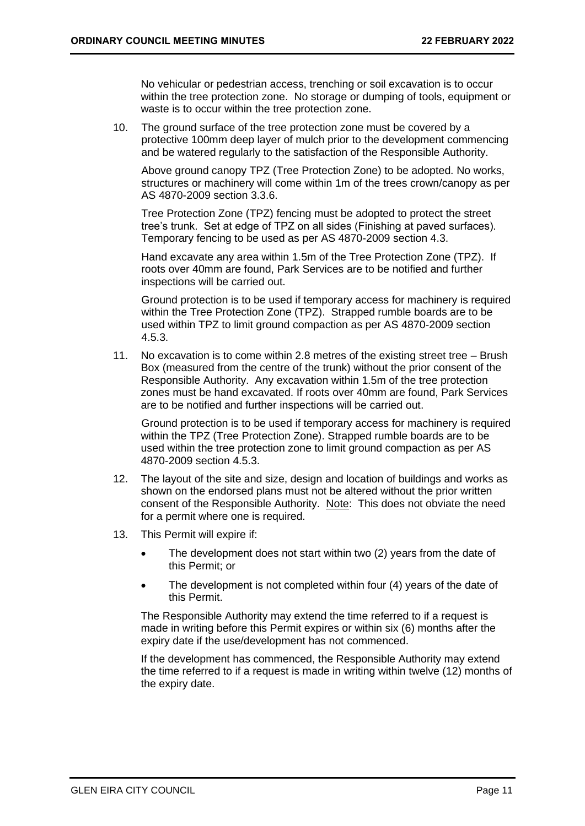No vehicular or pedestrian access, trenching or soil excavation is to occur within the tree protection zone. No storage or dumping of tools, equipment or waste is to occur within the tree protection zone.

10. The ground surface of the tree protection zone must be covered by a protective 100mm deep layer of mulch prior to the development commencing and be watered regularly to the satisfaction of the Responsible Authority.

Above ground canopy TPZ (Tree Protection Zone) to be adopted. No works, structures or machinery will come within 1m of the trees crown/canopy as per AS 4870-2009 section 3.3.6.

Tree Protection Zone (TPZ) fencing must be adopted to protect the street tree's trunk. Set at edge of TPZ on all sides (Finishing at paved surfaces). Temporary fencing to be used as per AS 4870-2009 section 4.3.

Hand excavate any area within 1.5m of the Tree Protection Zone (TPZ). If roots over 40mm are found, Park Services are to be notified and further inspections will be carried out.

Ground protection is to be used if temporary access for machinery is required within the Tree Protection Zone (TPZ). Strapped rumble boards are to be used within TPZ to limit ground compaction as per AS 4870-2009 section 4.5.3.

11. No excavation is to come within 2.8 metres of the existing street tree – Brush Box (measured from the centre of the trunk) without the prior consent of the Responsible Authority. Any excavation within 1.5m of the tree protection zones must be hand excavated. If roots over 40mm are found, Park Services are to be notified and further inspections will be carried out.

Ground protection is to be used if temporary access for machinery is required within the TPZ (Tree Protection Zone). Strapped rumble boards are to be used within the tree protection zone to limit ground compaction as per AS 4870-2009 section 4.5.3.

- 12. The layout of the site and size, design and location of buildings and works as shown on the endorsed plans must not be altered without the prior written consent of the Responsible Authority. Note: This does not obviate the need for a permit where one is required.
- 13. This Permit will expire if:
	- The development does not start within two (2) years from the date of this Permit; or
	- The development is not completed within four (4) years of the date of this Permit.

The Responsible Authority may extend the time referred to if a request is made in writing before this Permit expires or within six (6) months after the expiry date if the use/development has not commenced.

If the development has commenced, the Responsible Authority may extend the time referred to if a request is made in writing within twelve (12) months of the expiry date.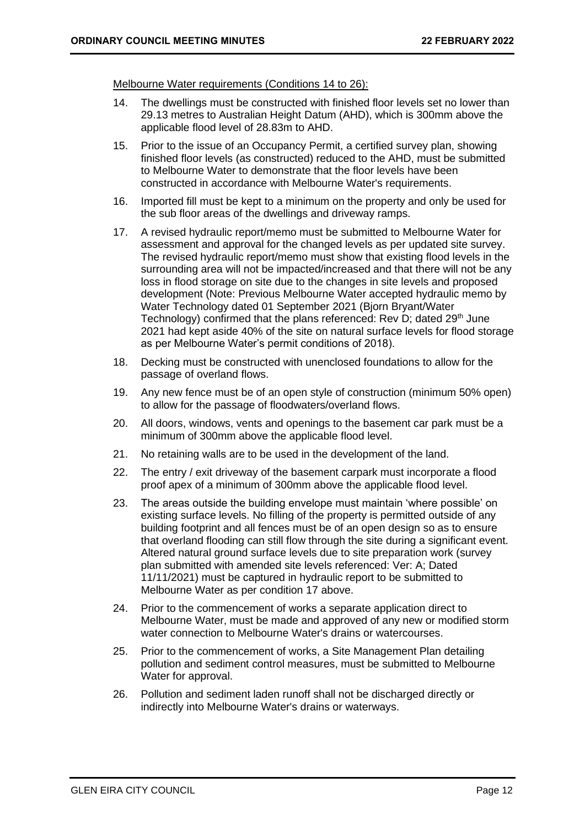Melbourne Water requirements (Conditions 14 to 26):

- 14. The dwellings must be constructed with finished floor levels set no lower than 29.13 metres to Australian Height Datum (AHD), which is 300mm above the applicable flood level of 28.83m to AHD.
- 15. Prior to the issue of an Occupancy Permit, a certified survey plan, showing finished floor levels (as constructed) reduced to the AHD, must be submitted to Melbourne Water to demonstrate that the floor levels have been constructed in accordance with Melbourne Water's requirements.
- 16. Imported fill must be kept to a minimum on the property and only be used for the sub floor areas of the dwellings and driveway ramps.
- 17. A revised hydraulic report/memo must be submitted to Melbourne Water for assessment and approval for the changed levels as per updated site survey. The revised hydraulic report/memo must show that existing flood levels in the surrounding area will not be impacted/increased and that there will not be any loss in flood storage on site due to the changes in site levels and proposed development (Note: Previous Melbourne Water accepted hydraulic memo by Water Technology dated 01 September 2021 (Bjorn Bryant/Water Technology) confirmed that the plans referenced: Rev D; dated 29<sup>th</sup> June 2021 had kept aside 40% of the site on natural surface levels for flood storage as per Melbourne Water's permit conditions of 2018).
- 18. Decking must be constructed with unenclosed foundations to allow for the passage of overland flows.
- 19. Any new fence must be of an open style of construction (minimum 50% open) to allow for the passage of floodwaters/overland flows.
- 20. All doors, windows, vents and openings to the basement car park must be a minimum of 300mm above the applicable flood level.
- 21. No retaining walls are to be used in the development of the land.
- 22. The entry / exit driveway of the basement carpark must incorporate a flood proof apex of a minimum of 300mm above the applicable flood level.
- 23. The areas outside the building envelope must maintain 'where possible' on existing surface levels. No filling of the property is permitted outside of any building footprint and all fences must be of an open design so as to ensure that overland flooding can still flow through the site during a significant event. Altered natural ground surface levels due to site preparation work (survey plan submitted with amended site levels referenced: Ver: A; Dated 11/11/2021) must be captured in hydraulic report to be submitted to Melbourne Water as per condition 17 above.
- 24. Prior to the commencement of works a separate application direct to Melbourne Water, must be made and approved of any new or modified storm water connection to Melbourne Water's drains or watercourses.
- 25. Prior to the commencement of works, a Site Management Plan detailing pollution and sediment control measures, must be submitted to Melbourne Water for approval.
- 26. Pollution and sediment laden runoff shall not be discharged directly or indirectly into Melbourne Water's drains or waterways.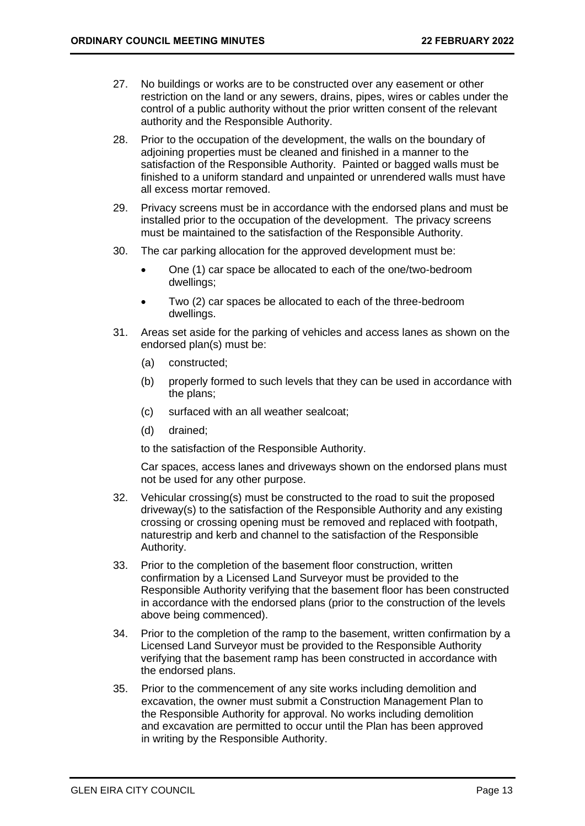- 27. No buildings or works are to be constructed over any easement or other restriction on the land or any sewers, drains, pipes, wires or cables under the control of a public authority without the prior written consent of the relevant authority and the Responsible Authority.
- 28. Prior to the occupation of the development, the walls on the boundary of adjoining properties must be cleaned and finished in a manner to the satisfaction of the Responsible Authority. Painted or bagged walls must be finished to a uniform standard and unpainted or unrendered walls must have all excess mortar removed.
- 29. Privacy screens must be in accordance with the endorsed plans and must be installed prior to the occupation of the development. The privacy screens must be maintained to the satisfaction of the Responsible Authority.
- 30. The car parking allocation for the approved development must be:
	- One (1) car space be allocated to each of the one/two-bedroom dwellings;
	- Two (2) car spaces be allocated to each of the three-bedroom dwellings.
- 31. Areas set aside for the parking of vehicles and access lanes as shown on the endorsed plan(s) must be:
	- (a) constructed;
	- (b) properly formed to such levels that they can be used in accordance with the plans;
	- (c) surfaced with an all weather sealcoat;
	- (d) drained;

to the satisfaction of the Responsible Authority.

Car spaces, access lanes and driveways shown on the endorsed plans must not be used for any other purpose.

- 32. Vehicular crossing(s) must be constructed to the road to suit the proposed driveway(s) to the satisfaction of the Responsible Authority and any existing crossing or crossing opening must be removed and replaced with footpath, naturestrip and kerb and channel to the satisfaction of the Responsible Authority.
- 33. Prior to the completion of the basement floor construction, written confirmation by a Licensed Land Surveyor must be provided to the Responsible Authority verifying that the basement floor has been constructed in accordance with the endorsed plans (prior to the construction of the levels above being commenced).
- 34. Prior to the completion of the ramp to the basement, written confirmation by a Licensed Land Surveyor must be provided to the Responsible Authority verifying that the basement ramp has been constructed in accordance with the endorsed plans.
- 35. Prior to the commencement of any site works including demolition and excavation, the owner must submit a Construction Management Plan to the Responsible Authority for approval. No works including demolition and excavation are permitted to occur until the Plan has been approved in writing by the Responsible Authority.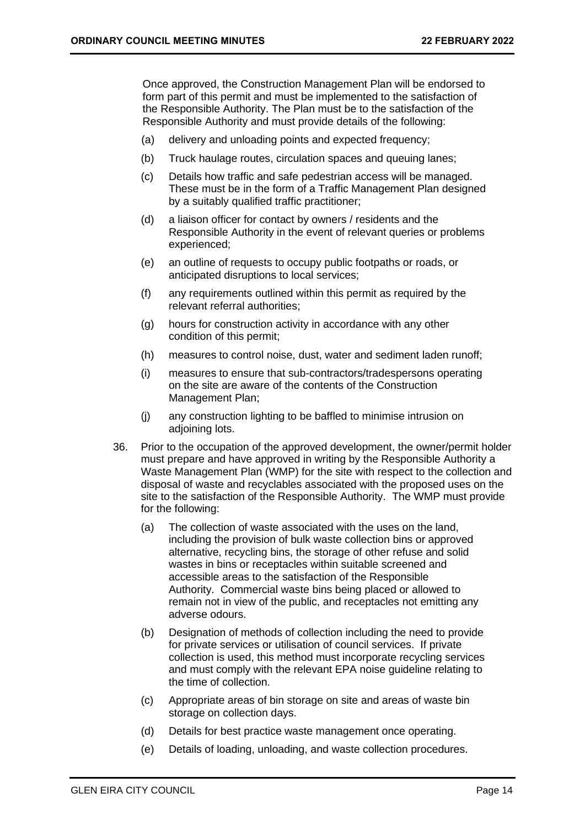Once approved, the Construction Management Plan will be endorsed to form part of this permit and must be implemented to the satisfaction of the Responsible Authority. The Plan must be to the satisfaction of the Responsible Authority and must provide details of the following:

- (a) delivery and unloading points and expected frequency;
- (b) Truck haulage routes, circulation spaces and queuing lanes;
- (c) Details how traffic and safe pedestrian access will be managed. These must be in the form of a Traffic Management Plan designed by a suitably qualified traffic practitioner;
- (d) a liaison officer for contact by owners / residents and the Responsible Authority in the event of relevant queries or problems experienced;
- (e) an outline of requests to occupy public footpaths or roads, or anticipated disruptions to local services;
- (f) any requirements outlined within this permit as required by the relevant referral authorities;
- (g) hours for construction activity in accordance with any other condition of this permit;
- (h) measures to control noise, dust, water and sediment laden runoff;
- (i) measures to ensure that sub-contractors/tradespersons operating on the site are aware of the contents of the Construction Management Plan;
- (j) any construction lighting to be baffled to minimise intrusion on adjoining lots.
- 36. Prior to the occupation of the approved development, the owner/permit holder must prepare and have approved in writing by the Responsible Authority a Waste Management Plan (WMP) for the site with respect to the collection and disposal of waste and recyclables associated with the proposed uses on the site to the satisfaction of the Responsible Authority. The WMP must provide for the following:
	- (a) The collection of waste associated with the uses on the land, including the provision of bulk waste collection bins or approved alternative, recycling bins, the storage of other refuse and solid wastes in bins or receptacles within suitable screened and accessible areas to the satisfaction of the Responsible Authority. Commercial waste bins being placed or allowed to remain not in view of the public, and receptacles not emitting any adverse odours.
	- (b) Designation of methods of collection including the need to provide for private services or utilisation of council services. If private collection is used, this method must incorporate recycling services and must comply with the relevant EPA noise guideline relating to the time of collection.
	- (c) Appropriate areas of bin storage on site and areas of waste bin storage on collection days.
	- (d) Details for best practice waste management once operating.
	- (e) Details of loading, unloading, and waste collection procedures.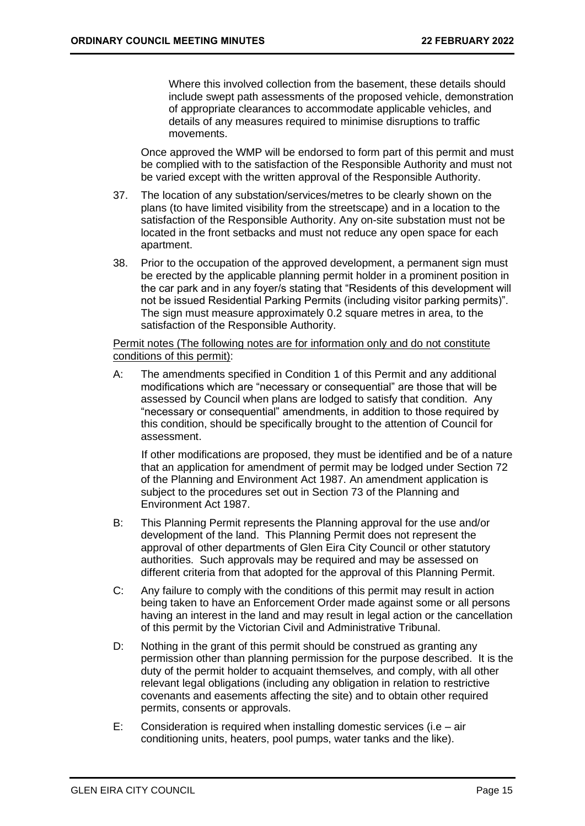Where this involved collection from the basement, these details should include swept path assessments of the proposed vehicle, demonstration of appropriate clearances to accommodate applicable vehicles, and details of any measures required to minimise disruptions to traffic movements.

Once approved the WMP will be endorsed to form part of this permit and must be complied with to the satisfaction of the Responsible Authority and must not be varied except with the written approval of the Responsible Authority.

- 37. The location of any substation/services/metres to be clearly shown on the plans (to have limited visibility from the streetscape) and in a location to the satisfaction of the Responsible Authority. Any on-site substation must not be located in the front setbacks and must not reduce any open space for each apartment.
- 38. Prior to the occupation of the approved development, a permanent sign must be erected by the applicable planning permit holder in a prominent position in the car park and in any foyer/s stating that "Residents of this development will not be issued Residential Parking Permits (including visitor parking permits)". The sign must measure approximately 0.2 square metres in area, to the satisfaction of the Responsible Authority.

Permit notes (The following notes are for information only and do not constitute conditions of this permit):

A: The amendments specified in Condition 1 of this Permit and any additional modifications which are "necessary or consequential" are those that will be assessed by Council when plans are lodged to satisfy that condition. Any "necessary or consequential" amendments, in addition to those required by this condition, should be specifically brought to the attention of Council for assessment.

If other modifications are proposed, they must be identified and be of a nature that an application for amendment of permit may be lodged under Section 72 of the Planning and Environment Act 1987. An amendment application is subject to the procedures set out in Section 73 of the Planning and Environment Act 1987.

- B: This Planning Permit represents the Planning approval for the use and/or development of the land. This Planning Permit does not represent the approval of other departments of Glen Eira City Council or other statutory authorities. Such approvals may be required and may be assessed on different criteria from that adopted for the approval of this Planning Permit.
- C: Any failure to comply with the conditions of this permit may result in action being taken to have an Enforcement Order made against some or all persons having an interest in the land and may result in legal action or the cancellation of this permit by the Victorian Civil and Administrative Tribunal.
- D: Nothing in the grant of this permit should be construed as granting any permission other than planning permission for the purpose described. It is the duty of the permit holder to acquaint themselves*,* and comply, with all other relevant legal obligations (including any obligation in relation to restrictive covenants and easements affecting the site) and to obtain other required permits, consents or approvals.
- E: Consideration is required when installing domestic services (i.e air conditioning units, heaters, pool pumps, water tanks and the like).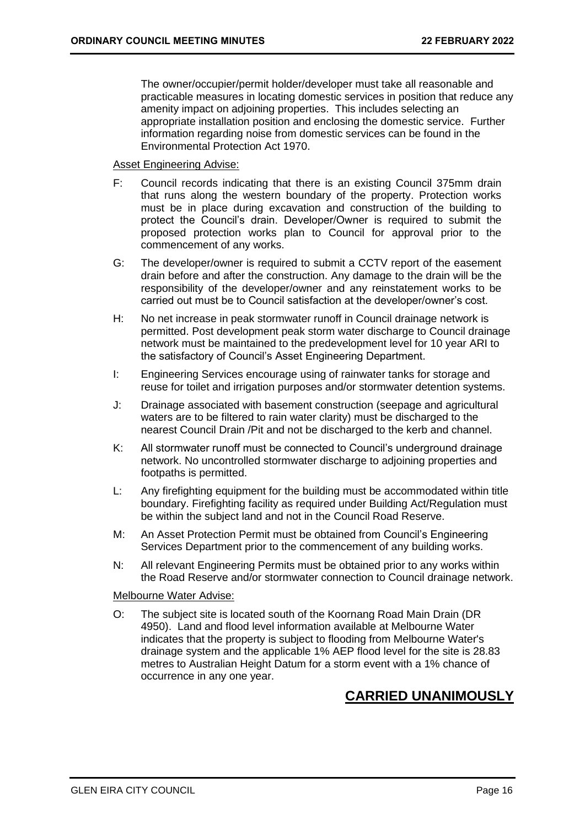The owner/occupier/permit holder/developer must take all reasonable and practicable measures in locating domestic services in position that reduce any amenity impact on adjoining properties. This includes selecting an appropriate installation position and enclosing the domestic service. Further information regarding noise from domestic services can be found in the Environmental Protection Act 1970.

Asset Engineering Advise:

- F: Council records indicating that there is an existing Council 375mm drain that runs along the western boundary of the property. Protection works must be in place during excavation and construction of the building to protect the Council's drain. Developer/Owner is required to submit the proposed protection works plan to Council for approval prior to the commencement of any works.
- G: The developer/owner is required to submit a CCTV report of the easement drain before and after the construction. Any damage to the drain will be the responsibility of the developer/owner and any reinstatement works to be carried out must be to Council satisfaction at the developer/owner's cost.
- H: No net increase in peak stormwater runoff in Council drainage network is permitted. Post development peak storm water discharge to Council drainage network must be maintained to the predevelopment level for 10 year ARI to the satisfactory of Council's Asset Engineering Department.
- I: Engineering Services encourage using of rainwater tanks for storage and reuse for toilet and irrigation purposes and/or stormwater detention systems.
- J: Drainage associated with basement construction (seepage and agricultural waters are to be filtered to rain water clarity) must be discharged to the nearest Council Drain /Pit and not be discharged to the kerb and channel.
- K: All stormwater runoff must be connected to Council's underground drainage network. No uncontrolled stormwater discharge to adjoining properties and footpaths is permitted.
- L: Any firefighting equipment for the building must be accommodated within title boundary. Firefighting facility as required under Building Act/Regulation must be within the subject land and not in the Council Road Reserve.
- M: An Asset Protection Permit must be obtained from Council's Engineering Services Department prior to the commencement of any building works.
- N: All relevant Engineering Permits must be obtained prior to any works within the Road Reserve and/or stormwater connection to Council drainage network.

## Melbourne Water Advise:

O: The subject site is located south of the Koornang Road Main Drain (DR 4950). Land and flood level information available at Melbourne Water indicates that the property is subject to flooding from Melbourne Water's drainage system and the applicable 1% AEP flood level for the site is 28.83 metres to Australian Height Datum for a storm event with a 1% chance of occurrence in any one year.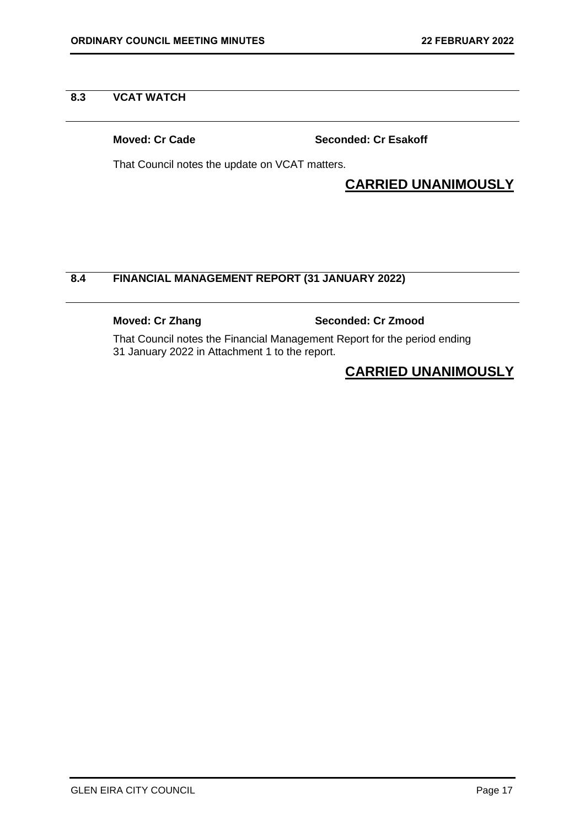## <span id="page-16-0"></span>**8.3 VCAT WATCH**

**Moved: Cr Cade Seconded: Cr Esakoff**

That Council notes the update on VCAT matters.

## **CARRIED UNANIMOUSLY**

## **8.4 FINANCIAL MANAGEMENT REPORT (31 JANUARY 2022)**

## **Moved: Cr Zhang Seconded: Cr Zmood**

That Council notes the Financial Management Report for the period ending 31 January 2022 in Attachment 1 to the report.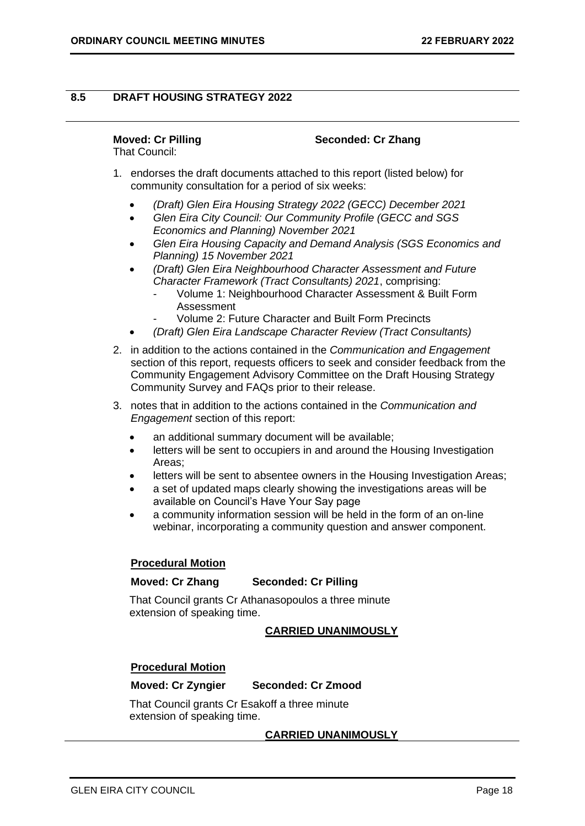## <span id="page-17-0"></span>**8.5 DRAFT HOUSING STRATEGY 2022**

## **Moved: Cr Pilling Seconded: Cr Zhang**

That Council:

- 1. endorses the draft documents attached to this report (listed below) for community consultation for a period of six weeks:
	- *(Draft) Glen Eira Housing Strategy 2022 (GECC) December 2021*
	- *Glen Eira City Council: Our Community Profile (GECC and SGS Economics and Planning) November 2021*
	- *Glen Eira Housing Capacity and Demand Analysis (SGS Economics and Planning) 15 November 2021*
	- *(Draft) Glen Eira Neighbourhood Character Assessment and Future Character Framework (Tract Consultants) 2021*, comprising:
		- Volume 1: Neighbourhood Character Assessment & Built Form Assessment
		- Volume 2: Future Character and Built Form Precincts
	- *(Draft) Glen Eira Landscape Character Review (Tract Consultants)*
- 2. in addition to the actions contained in the *Communication and Engagement* section of this report, requests officers to seek and consider feedback from the Community Engagement Advisory Committee on the Draft Housing Strategy Community Survey and FAQs prior to their release.
- 3. notes that in addition to the actions contained in the *Communication and Engagement* section of this report:
	- an additional summary document will be available:
	- letters will be sent to occupiers in and around the Housing Investigation Areas;
	- letters will be sent to absentee owners in the Housing Investigation Areas;
	- a set of updated maps clearly showing the investigations areas will be available on Council's Have Your Say page
	- a community information session will be held in the form of an on-line webinar, incorporating a community question and answer component.

## **Procedural Motion**

## **Moved: Cr Zhang Seconded: Cr Pilling**

That Council grants Cr Athanasopoulos a three minute extension of speaking time.

## **CARRIED UNANIMOUSLY**

## **Procedural Motion**

## **Moved: Cr Zyngier Seconded: Cr Zmood**

That Council grants Cr Esakoff a three minute extension of speaking time.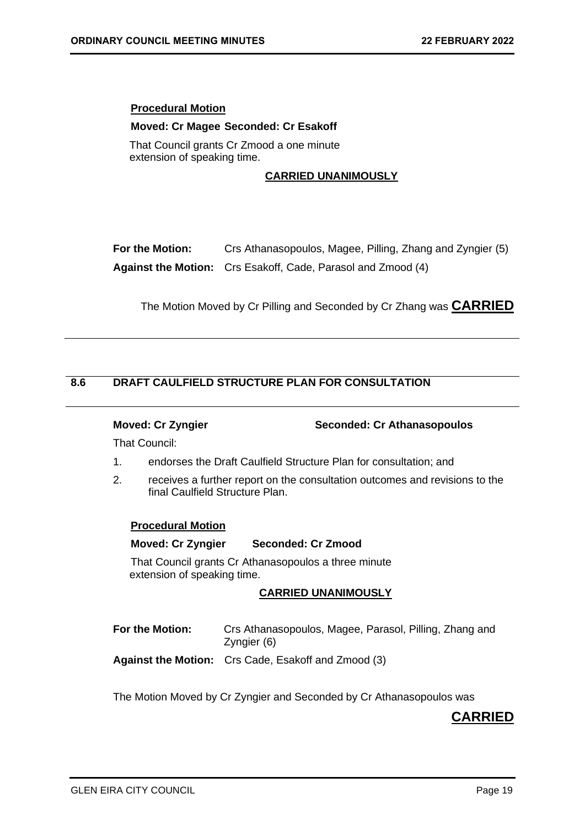## <span id="page-18-0"></span>**Procedural Motion**

### **Moved: Cr Magee Seconded: Cr Esakoff**

That Council grants Cr Zmood a one minute extension of speaking time.

## **CARRIED UNANIMOUSLY**

| For the Motion: | Crs Athanasopoulos, Magee, Pilling, Zhang and Zyngier (5)           |
|-----------------|---------------------------------------------------------------------|
|                 | <b>Against the Motion:</b> Crs Esakoff, Cade, Parasol and Zmood (4) |

The Motion Moved by Cr Pilling and Seconded by Cr Zhang was **CARRIED** 

## **8.6 DRAFT CAULFIELD STRUCTURE PLAN FOR CONSULTATION**

**Moved: Cr Zyngier Seconded: Cr Athanasopoulos**

That Council:

- 1. endorses the Draft Caulfield Structure Plan for consultation; and
- 2. receives a further report on the consultation outcomes and revisions to the final Caulfield Structure Plan.

## **Procedural Motion**

### **Moved: Cr Zyngier Seconded: Cr Zmood**

That Council grants Cr Athanasopoulos a three minute extension of speaking time.

## **CARRIED UNANIMOUSLY**

| For the Motion: | Crs Athanasopoulos, Magee, Parasol, Pilling, Zhang and<br>Zyngier (6) |
|-----------------|-----------------------------------------------------------------------|
|                 | <b>Against the Motion:</b> Crs Cade, Esakoff and Zmood (3)            |

The Motion Moved by Cr Zyngier and Seconded by Cr Athanasopoulos was

## **CARRIED**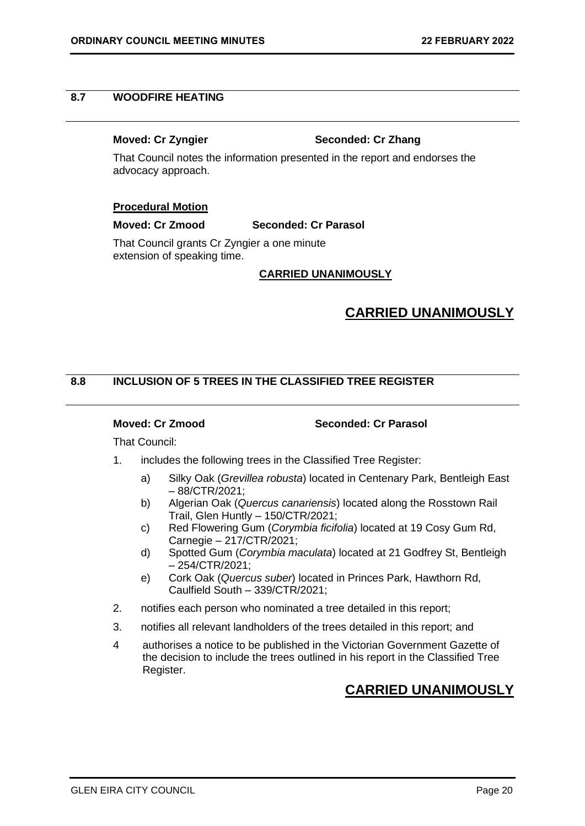## <span id="page-19-0"></span>**8.7 WOODFIRE HEATING**

### **Moved: Cr Zyngier Seconded: Cr Zhang**

That Council notes the information presented in the report and endorses the advocacy approach.

## **Procedural Motion**

## **Moved: Cr Zmood Seconded: Cr Parasol**

That Council grants Cr Zyngier a one minute extension of speaking time.

## **CARRIED UNANIMOUSLY**

## **CARRIED UNANIMOUSLY**

## **8.8 INCLUSION OF 5 TREES IN THE CLASSIFIED TREE REGISTER**

**Moved: Cr Zmood Seconded: Cr Parasol**

That Council:

- 1. includes the following trees in the Classified Tree Register:
	- a) Silky Oak (*Grevillea robusta*) located in Centenary Park, Bentleigh East – 88/CTR/2021;
	- b) Algerian Oak (*Quercus canariensis*) located along the Rosstown Rail Trail, Glen Huntly – 150/CTR/2021;
	- c) Red Flowering Gum (*Corymbia ficifolia*) located at 19 Cosy Gum Rd, Carnegie – 217/CTR/2021;
	- d) Spotted Gum (*Corymbia maculata*) located at 21 Godfrey St, Bentleigh – 254/CTR/2021;
	- e) Cork Oak (*Quercus suber*) located in Princes Park, Hawthorn Rd, Caulfield South – 339/CTR/2021;
- 2. notifies each person who nominated a tree detailed in this report;
- 3. notifies all relevant landholders of the trees detailed in this report; and
- 4 authorises a notice to be published in the Victorian Government Gazette of the decision to include the trees outlined in his report in the Classified Tree Register.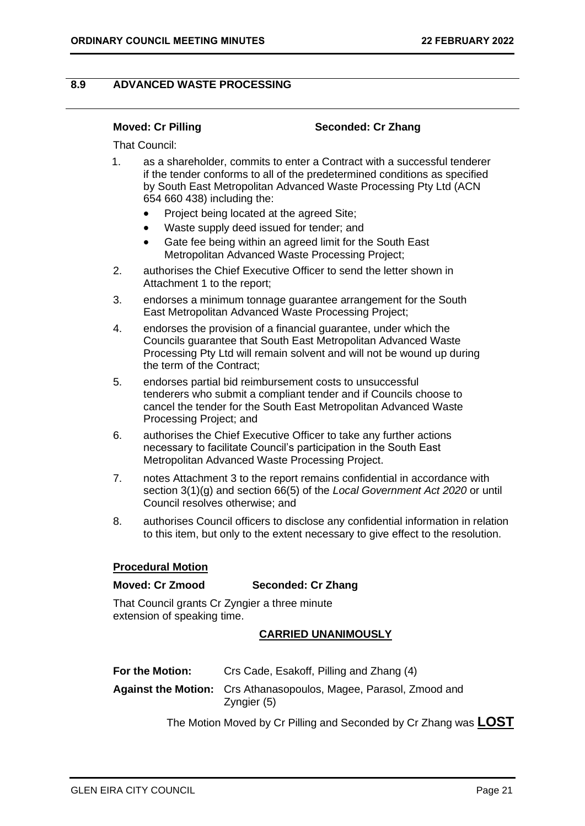## <span id="page-20-0"></span>**8.9 ADVANCED WASTE PROCESSING**

### **Moved: Cr Pilling Seconded: Cr Zhang**

That Council:

- 1. as a shareholder, commits to enter a Contract with a successful tenderer if the tender conforms to all of the predetermined conditions as specified by South East Metropolitan Advanced Waste Processing Pty Ltd (ACN 654 660 438) including the:
	- Project being located at the agreed Site;
	- Waste supply deed issued for tender; and
	- Gate fee being within an agreed limit for the South East Metropolitan Advanced Waste Processing Project;
- 2. authorises the Chief Executive Officer to send the letter shown in Attachment 1 to the report;
- 3. endorses a minimum tonnage guarantee arrangement for the South East Metropolitan Advanced Waste Processing Project;
- 4. endorses the provision of a financial guarantee, under which the Councils guarantee that South East Metropolitan Advanced Waste Processing Pty Ltd will remain solvent and will not be wound up during the term of the Contract;
- 5. endorses partial bid reimbursement costs to unsuccessful tenderers who submit a compliant tender and if Councils choose to cancel the tender for the South East Metropolitan Advanced Waste Processing Project; and
- 6. authorises the Chief Executive Officer to take any further actions necessary to facilitate Council's participation in the South East Metropolitan Advanced Waste Processing Project.
- 7. notes Attachment 3 to the report remains confidential in accordance with section 3(1)(g) and section 66(5) of the *Local Government Act 2020* or until Council resolves otherwise; and
- 8. authorises Council officers to disclose any confidential information in relation to this item, but only to the extent necessary to give effect to the resolution.

## **Procedural Motion**

### **Moved: Cr Zmood Seconded: Cr Zhang**

That Council grants Cr Zyngier a three minute extension of speaking time.

### **CARRIED UNANIMOUSLY**

| For the Motion: | Crs Cade, Esakoff, Pilling and Zhang (4)                                                |
|-----------------|-----------------------------------------------------------------------------------------|
|                 | <b>Against the Motion:</b> Crs Athanasopoulos, Magee, Parasol, Zmood and<br>Zyngier (5) |

The Motion Moved by Cr Pilling and Seconded by Cr Zhang was **LOST**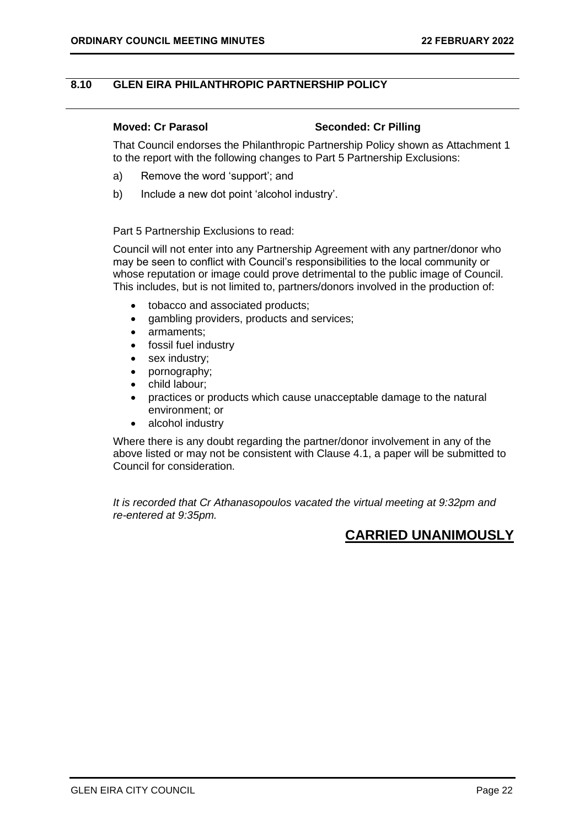## <span id="page-21-0"></span>**8.10 GLEN EIRA PHILANTHROPIC PARTNERSHIP POLICY**

## **Moved: Cr Parasol Seconded: Cr Pilling**

That Council endorses the Philanthropic Partnership Policy shown as Attachment 1 to the report with the following changes to Part 5 Partnership Exclusions:

- a) Remove the word 'support'; and
- b) Include a new dot point 'alcohol industry'.

## Part 5 Partnership Exclusions to read:

Council will not enter into any Partnership Agreement with any partner/donor who may be seen to conflict with Council's responsibilities to the local community or whose reputation or image could prove detrimental to the public image of Council. This includes, but is not limited to, partners/donors involved in the production of:

- tobacco and associated products;
- gambling providers, products and services:
- armaments;
- fossil fuel industry
- sex industry;
- pornography;
- child labour;
- practices or products which cause unacceptable damage to the natural environment; or
- alcohol industry

Where there is any doubt regarding the partner/donor involvement in any of the above listed or may not be consistent with Clause 4.1, a paper will be submitted to Council for consideration.

*It is recorded that Cr Athanasopoulos vacated the virtual meeting at 9:32pm and re-entered at 9:35pm.*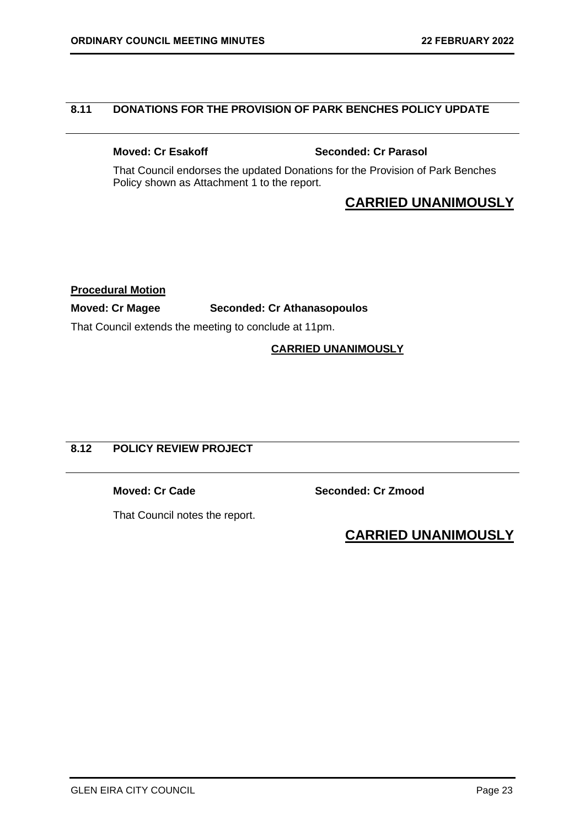## <span id="page-22-0"></span>**8.11 DONATIONS FOR THE PROVISION OF PARK BENCHES POLICY UPDATE**

**Moved: Cr Esakoff Seconded: Cr Parasol** 

That Council endorses the updated Donations for the Provision of Park Benches Policy shown as Attachment 1 to the report.

## **CARRIED UNANIMOUSLY**

**Procedural Motion**

## **Moved: Cr Magee Seconded: Cr Athanasopoulos**

That Council extends the meeting to conclude at 11pm.

## **CARRIED UNANIMOUSLY**

## **8.12 POLICY REVIEW PROJECT**

**Moved: Cr Cade Seconded: Cr Zmood**

That Council notes the report.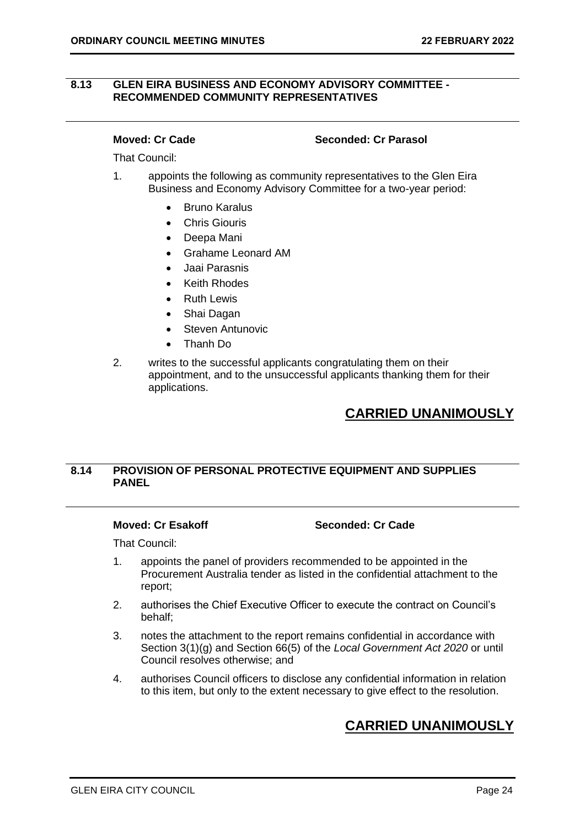## <span id="page-23-0"></span>**8.13 GLEN EIRA BUSINESS AND ECONOMY ADVISORY COMMITTEE - RECOMMENDED COMMUNITY REPRESENTATIVES**

### **Moved: Cr Cade Seconded: Cr Parasol**

That Council:

- 1. appoints the following as community representatives to the Glen Eira Business and Economy Advisory Committee for a two-year period:
	- Bruno Karalus
	- Chris Giouris
	- Deepa Mani
	- Grahame Leonard AM
	- Jaai Parasnis
	- **Keith Rhodes**
	- Ruth Lewis
	- Shai Dagan
	- Steven Antunovic
	- Thanh Do
- 2. writes to the successful applicants congratulating them on their appointment, and to the unsuccessful applicants thanking them for their applications.

## **CARRIED UNANIMOUSLY**

## **8.14 PROVISION OF PERSONAL PROTECTIVE EQUIPMENT AND SUPPLIES PANEL**

## **Moved: Cr Esakoff Seconded: Cr Cade**

That Council:

- 1. appoints the panel of providers recommended to be appointed in the Procurement Australia tender as listed in the confidential attachment to the report;
- 2. authorises the Chief Executive Officer to execute the contract on Council's behalf;
- 3. notes the attachment to the report remains confidential in accordance with Section 3(1)(g) and Section 66(5) of the *Local Government Act 2020* or until Council resolves otherwise; and
- 4. authorises Council officers to disclose any confidential information in relation to this item, but only to the extent necessary to give effect to the resolution.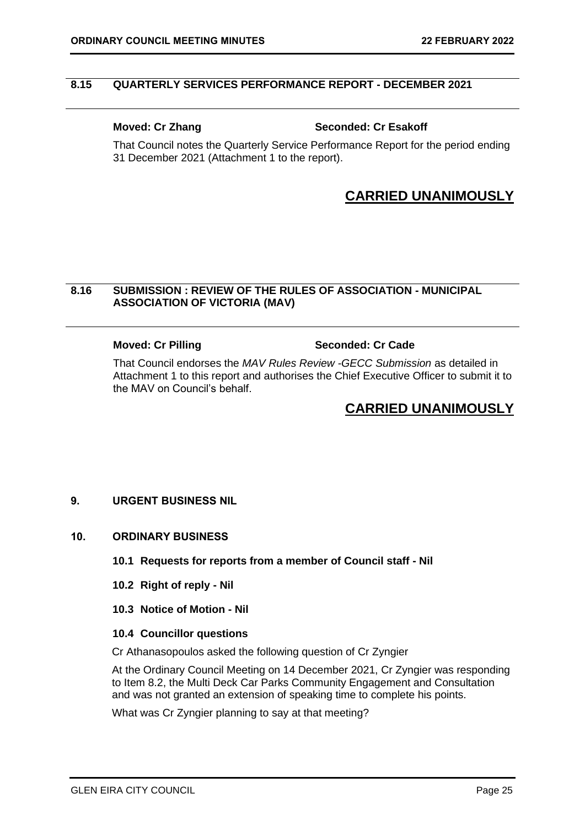## <span id="page-24-0"></span>**8.15 QUARTERLY SERVICES PERFORMANCE REPORT - DECEMBER 2021**

## **Moved: Cr Zhang Seconded: Cr Esakoff**

That Council notes the Quarterly Service Performance Report for the period ending 31 December 2021 (Attachment 1 to the report).

## **CARRIED UNANIMOUSLY**

## **8.16 SUBMISSION : REVIEW OF THE RULES OF ASSOCIATION - MUNICIPAL ASSOCIATION OF VICTORIA (MAV)**

## **Moved: Cr Pilling Seconded: Cr Cade**

That Council endorses the *MAV Rules Review -GECC Submission* as detailed in Attachment 1 to this report and authorises the Chief Executive Officer to submit it to the MAV on Council's behalf.

## **CARRIED UNANIMOUSLY**

## <span id="page-24-1"></span>**9. URGENT BUSINESS NIL**

## <span id="page-24-4"></span><span id="page-24-3"></span><span id="page-24-2"></span>**10. ORDINARY BUSINESS**

- **10.1 Requests for reports from a member of Council staff - Nil**
- <span id="page-24-5"></span>**10.2 Right of reply - Nil**
- **10.3 Notice of Motion - Nil**

### <span id="page-24-6"></span>**10.4 Councillor questions**

Cr Athanasopoulos asked the following question of Cr Zyngier

At the Ordinary Council Meeting on 14 December 2021, Cr Zyngier was responding to Item 8.2, the Multi Deck Car Parks Community Engagement and Consultation and was not granted an extension of speaking time to complete his points.

What was Cr Zyngier planning to say at that meeting?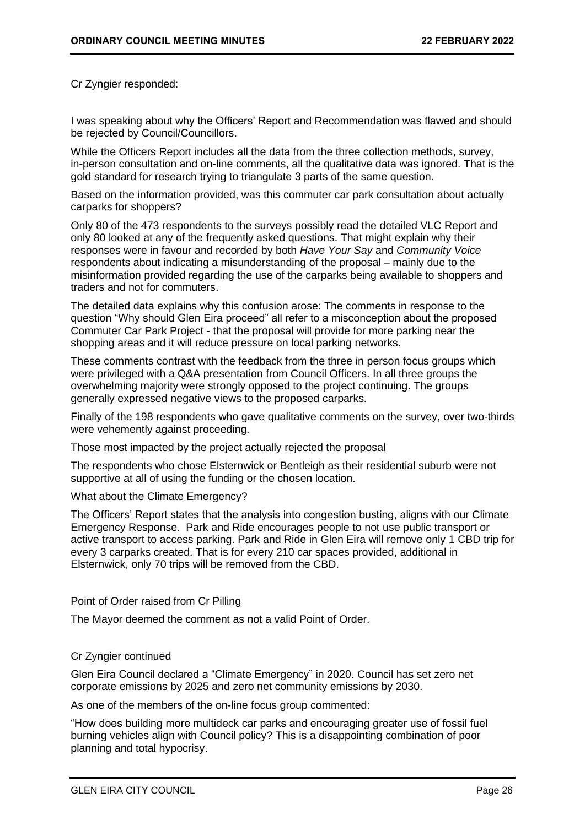Cr Zyngier responded:

I was speaking about why the Officers' Report and Recommendation was flawed and should be rejected by Council/Councillors.

While the Officers Report includes all the data from the three collection methods, survey, in-person consultation and on-line comments, all the qualitative data was ignored. That is the gold standard for research trying to triangulate 3 parts of the same question.

Based on the information provided, was this commuter car park consultation about actually carparks for shoppers?

Only 80 of the 473 respondents to the surveys possibly read the detailed VLC Report and only 80 looked at any of the frequently asked questions. That might explain why their responses were in favour and recorded by both *Have Your Say* and *Community Voice*  respondents about indicating a misunderstanding of the proposal – mainly due to the misinformation provided regarding the use of the carparks being available to shoppers and traders and not for commuters.

The detailed data explains why this confusion arose: The comments in response to the question "Why should Glen Eira proceed" all refer to a misconception about the proposed Commuter Car Park Project - that the proposal will provide for more parking near the shopping areas and it will reduce pressure on local parking networks.

These comments contrast with the feedback from the three in person focus groups which were privileged with a Q&A presentation from Council Officers. In all three groups the overwhelming majority were strongly opposed to the project continuing. The groups generally expressed negative views to the proposed carparks.

Finally of the 198 respondents who gave qualitative comments on the survey, over two-thirds were vehemently against proceeding.

Those most impacted by the project actually rejected the proposal

The respondents who chose Elsternwick or Bentleigh as their residential suburb were not supportive at all of using the funding or the chosen location.

What about the Climate Emergency?

The Officers' Report states that the analysis into congestion busting, aligns with our Climate Emergency Response. Park and Ride encourages people to not use public transport or active transport to access parking. Park and Ride in Glen Eira will remove only 1 CBD trip for every 3 carparks created. That is for every 210 car spaces provided, additional in Elsternwick, only 70 trips will be removed from the CBD.

## Point of Order raised from Cr Pilling

The Mayor deemed the comment as not a valid Point of Order.

## Cr Zyngier continued

Glen Eira Council declared a "Climate Emergency" in 2020. Council has set zero net corporate emissions by 2025 and zero net community emissions by 2030.

As one of the members of the on-line focus group commented:

"How does building more multideck car parks and encouraging greater use of fossil fuel burning vehicles align with Council policy? This is a disappointing combination of poor planning and total hypocrisy.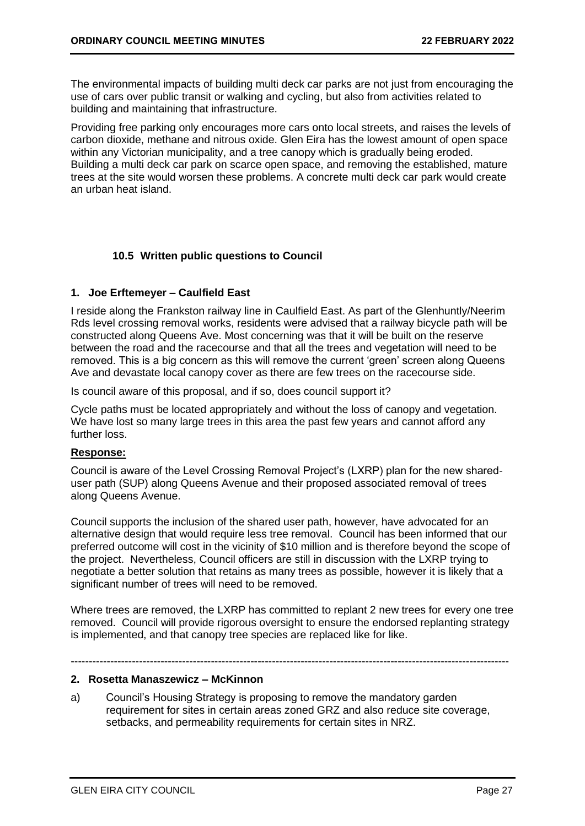The environmental impacts of building multi deck car parks are not just from encouraging the use of cars over public transit or walking and cycling, but also from activities related to building and maintaining that infrastructure.

Providing free parking only encourages more cars onto local streets, and raises the levels of carbon dioxide, methane and nitrous oxide. Glen Eira has the lowest amount of open space within any Victorian municipality, and a tree canopy which is gradually being eroded. Building a multi deck car park on scarce open space, and removing the established, mature trees at the site would worsen these problems. A concrete multi deck car park would create an urban heat island.

## <span id="page-26-0"></span>**10.5 Written public questions to Council**

## **1. Joe Erftemeyer – Caulfield East**

I reside along the Frankston railway line in Caulfield East. As part of the Glenhuntly/Neerim Rds level crossing removal works, residents were advised that a railway bicycle path will be constructed along Queens Ave. Most concerning was that it will be built on the reserve between the road and the racecourse and that all the trees and vegetation will need to be removed. This is a big concern as this will remove the current 'green' screen along Queens Ave and devastate local canopy cover as there are few trees on the racecourse side.

Is council aware of this proposal, and if so, does council support it?

Cycle paths must be located appropriately and without the loss of canopy and vegetation. We have lost so many large trees in this area the past few years and cannot afford any further loss.

## **Response:**

Council is aware of the Level Crossing Removal Project's (LXRP) plan for the new shareduser path (SUP) along Queens Avenue and their proposed associated removal of trees along Queens Avenue.

Council supports the inclusion of the shared user path, however, have advocated for an alternative design that would require less tree removal. Council has been informed that our preferred outcome will cost in the vicinity of \$10 million and is therefore beyond the scope of the project. Nevertheless, Council officers are still in discussion with the LXRP trying to negotiate a better solution that retains as many trees as possible, however it is likely that a significant number of trees will need to be removed.

Where trees are removed, the LXRP has committed to replant 2 new trees for every one tree removed. Council will provide rigorous oversight to ensure the endorsed replanting strategy is implemented, and that canopy tree species are replaced like for like.

--------------------------------------------------------------------------------------------------------------------------

## **2. Rosetta Manaszewicz – McKinnon**

a) Council's Housing Strategy is proposing to remove the mandatory garden requirement for sites in certain areas zoned GRZ and also reduce site coverage, setbacks, and permeability requirements for certain sites in NRZ.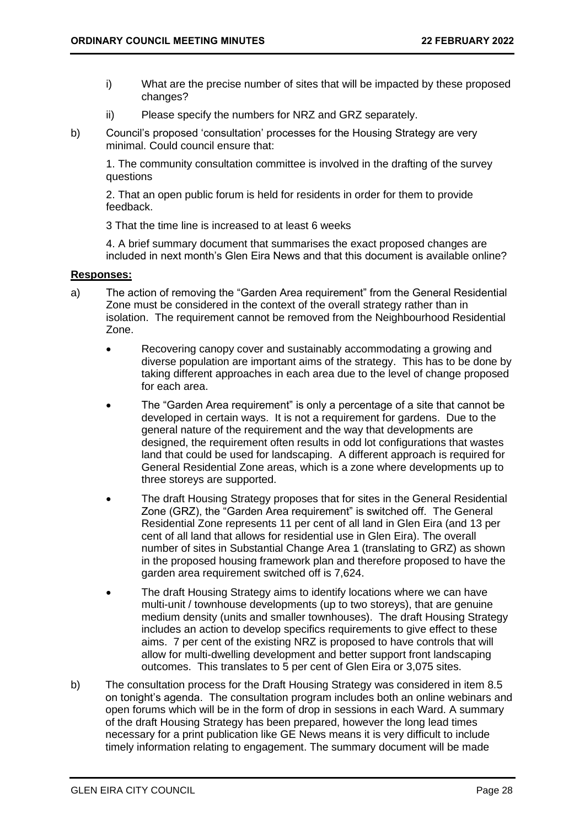- i) What are the precise number of sites that will be impacted by these proposed changes?
- ii) Please specify the numbers for NRZ and GRZ separately.
- b) Council's proposed 'consultation' processes for the Housing Strategy are very minimal. Could council ensure that:

1. The community consultation committee is involved in the drafting of the survey questions

2. That an open public forum is held for residents in order for them to provide feedback.

3 That the time line is increased to at least 6 weeks

4. A brief summary document that summarises the exact proposed changes are included in next month's Glen Eira News and that this document is available online?

## **Responses:**

- a) The action of removing the "Garden Area requirement" from the General Residential Zone must be considered in the context of the overall strategy rather than in isolation. The requirement cannot be removed from the Neighbourhood Residential Zone.
	- Recovering canopy cover and sustainably accommodating a growing and diverse population are important aims of the strategy. This has to be done by taking different approaches in each area due to the level of change proposed for each area.
	- The "Garden Area requirement" is only a percentage of a site that cannot be developed in certain ways. It is not a requirement for gardens. Due to the general nature of the requirement and the way that developments are designed, the requirement often results in odd lot configurations that wastes land that could be used for landscaping. A different approach is required for General Residential Zone areas, which is a zone where developments up to three storeys are supported.
	- The draft Housing Strategy proposes that for sites in the General Residential Zone (GRZ), the "Garden Area requirement" is switched off. The General Residential Zone represents 11 per cent of all land in Glen Eira (and 13 per cent of all land that allows for residential use in Glen Eira). The overall number of sites in Substantial Change Area 1 (translating to GRZ) as shown in the proposed housing framework plan and therefore proposed to have the garden area requirement switched off is 7,624.
	- The draft Housing Strategy aims to identify locations where we can have multi-unit / townhouse developments (up to two storeys), that are genuine medium density (units and smaller townhouses). The draft Housing Strategy includes an action to develop specifics requirements to give effect to these aims. 7 per cent of the existing NRZ is proposed to have controls that will allow for multi-dwelling development and better support front landscaping outcomes. This translates to 5 per cent of Glen Eira or 3,075 sites.
- b) The consultation process for the Draft Housing Strategy was considered in item 8.5 on tonight's agenda. The consultation program includes both an online webinars and open forums which will be in the form of drop in sessions in each Ward. A summary of the draft Housing Strategy has been prepared, however the long lead times necessary for a print publication like GE News means it is very difficult to include timely information relating to engagement. The summary document will be made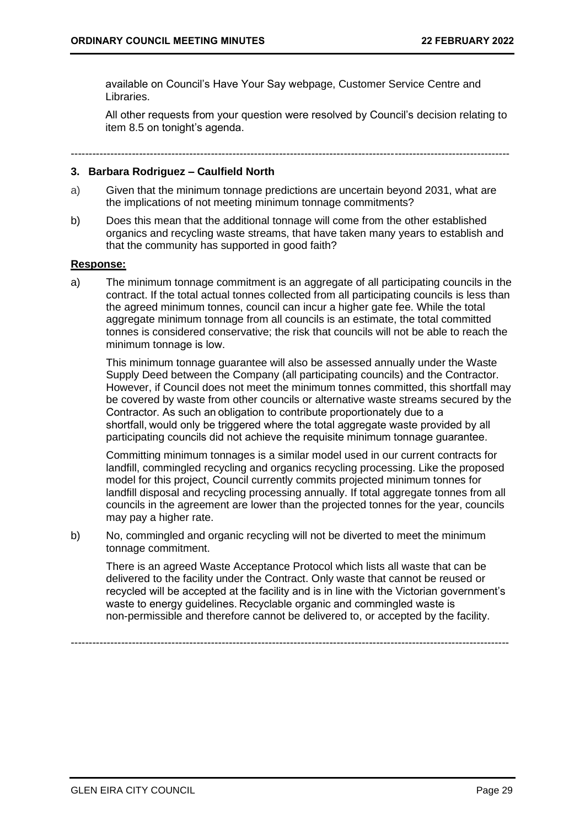available on Council's Have Your Say webpage, Customer Service Centre and Libraries.

All other requests from your question were resolved by Council's decision relating to item 8.5 on tonight's agenda.

### **3. Barbara Rodriguez – Caulfield North**

- a) Given that the minimum tonnage predictions are uncertain beyond 2031, what are the implications of not meeting minimum tonnage commitments?
- b) Does this mean that the additional tonnage will come from the other established organics and recycling waste streams, that have taken many years to establish and that the community has supported in good faith?

### **Response:**

a) The minimum tonnage commitment is an aggregate of all participating councils in the contract. If the total actual tonnes collected from all participating councils is less than the agreed minimum tonnes, council can incur a higher gate fee. While the total aggregate minimum tonnage from all councils is an estimate, the total committed tonnes is considered conservative; the risk that councils will not be able to reach the minimum tonnage is low.  

This minimum tonnage guarantee will also be assessed annually under the Waste Supply Deed between the Company (all participating councils) and the Contractor. However, if Council does not meet the minimum tonnes committed, this shortfall may be covered by waste from other councils or alternative waste streams secured by the Contractor. As such an obligation to contribute proportionately due to a shortfall, would only be triggered where the total aggregate waste provided by all participating councils did not achieve the requisite minimum tonnage guarantee. 

Committing minimum tonnages is a similar model used in our current contracts for landfill, commingled recycling and organics recycling processing. Like the proposed model for this project, Council currently commits projected minimum tonnes for landfill disposal and recycling processing annually. If total aggregate tonnes from all councils in the agreement are lower than the projected tonnes for the year, councils may pay a higher rate.

b) No, commingled and organic recycling will not be diverted to meet the minimum tonnage commitment.

There is an agreed Waste Acceptance Protocol which lists all waste that can be delivered to the facility under the Contract. Only waste that cannot be reused or recycled will be accepted at the facility and is in line with the Victorian government's waste to energy guidelines. Recyclable organic and commingled waste is non-permissible and therefore cannot be delivered to, or accepted by the facility.

--------------------------------------------------------------------------------------------------------------------------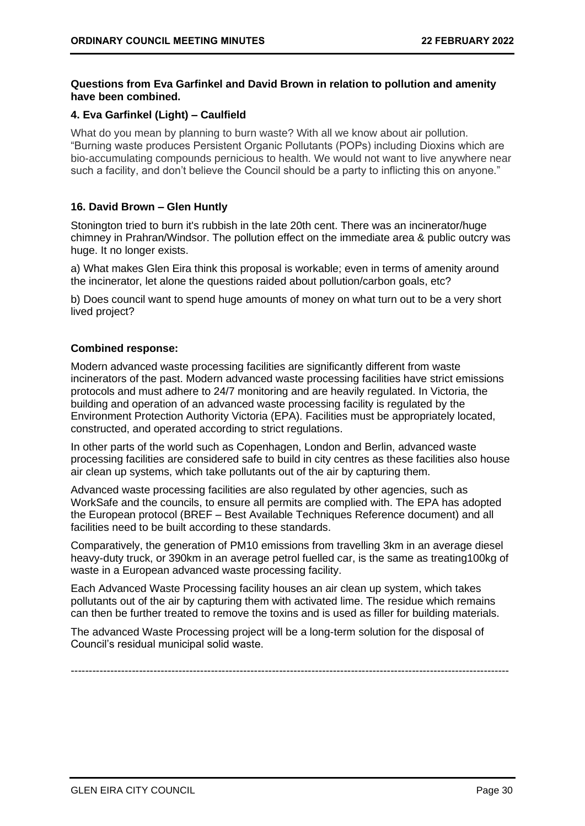## **Questions from Eva Garfinkel and David Brown in relation to pollution and amenity have been combined.**

## **4. Eva Garfinkel (Light) – Caulfield**

What do you mean by planning to burn waste? With all we know about air pollution. "Burning waste produces Persistent Organic Pollutants (POPs) including Dioxins which are bio-accumulating compounds pernicious to health. We would not want to live anywhere near such a facility, and don't believe the Council should be a party to inflicting this on anyone."

## **16. David Brown – Glen Huntly**

Stonington tried to burn it's rubbish in the late 20th cent. There was an incinerator/huge chimney in Prahran/Windsor. The pollution effect on the immediate area & public outcry was huge. It no longer exists.

a) What makes Glen Eira think this proposal is workable; even in terms of amenity around the incinerator, let alone the questions raided about pollution/carbon goals, etc?

b) Does council want to spend huge amounts of money on what turn out to be a very short lived project?

## **Combined response:**

Modern advanced waste processing facilities are significantly different from waste incinerators of the past. Modern advanced waste processing facilities have strict emissions protocols and must adhere to 24/7 monitoring and are heavily regulated. In Victoria, the building and operation of an advanced waste processing facility is regulated by the Environment Protection Authority Victoria (EPA). Facilities must be appropriately located, constructed, and operated according to strict regulations.

In other parts of the world such as Copenhagen, London and Berlin, advanced waste processing facilities are considered safe to build in city centres as these facilities also house air clean up systems, which take pollutants out of the air by capturing them.

Advanced waste processing facilities are also regulated by other agencies, such as WorkSafe and the councils, to ensure all permits are complied with. The EPA has adopted the European protocol (BREF – Best Available Techniques Reference document) and all facilities need to be built according to these standards.

Comparatively, the generation of PM10 emissions from travelling 3km in an average diesel heavy-duty truck, or 390km in an average petrol fuelled car, is the same as treating100kg of waste in a European advanced waste processing facility.

Each Advanced Waste Processing facility houses an air clean up system, which takes pollutants out of the air by capturing them with activated lime. The residue which remains can then be further treated to remove the toxins and is used as filler for building materials.

The advanced Waste Processing project will be a long-term solution for the disposal of Council's residual municipal solid waste.

--------------------------------------------------------------------------------------------------------------------------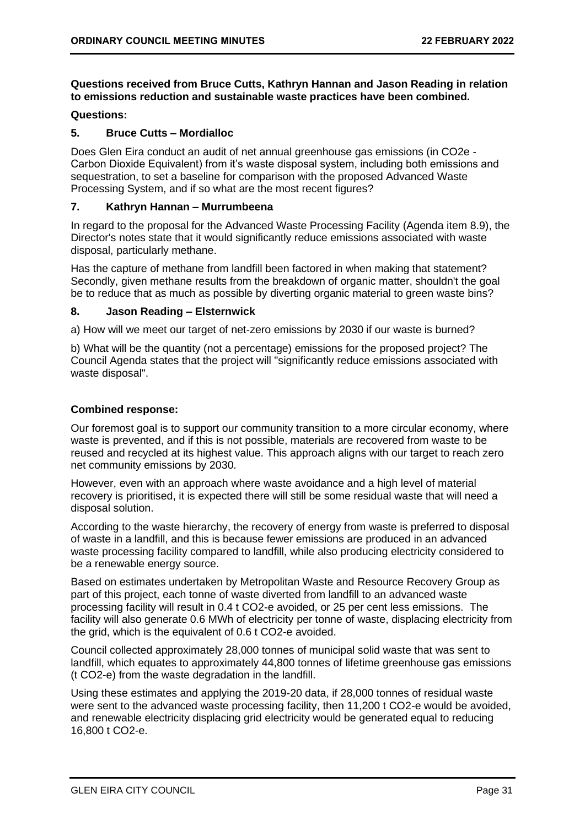## **Questions received from Bruce Cutts, Kathryn Hannan and Jason Reading in relation to emissions reduction and sustainable waste practices have been combined.**

## **Questions:**

## **5. Bruce Cutts – Mordialloc**

Does Glen Eira conduct an audit of net annual greenhouse gas emissions (in CO2e - Carbon Dioxide Equivalent) from it's waste disposal system, including both emissions and sequestration, to set a baseline for comparison with the proposed Advanced Waste Processing System, and if so what are the most recent figures?

## **7. Kathryn Hannan – Murrumbeena**

In regard to the proposal for the Advanced Waste Processing Facility (Agenda item 8.9), the Director's notes state that it would significantly reduce emissions associated with waste disposal, particularly methane.

Has the capture of methane from landfill been factored in when making that statement? Secondly, given methane results from the breakdown of organic matter, shouldn't the goal be to reduce that as much as possible by diverting organic material to green waste bins?

## **8. Jason Reading – Elsternwick**

a) How will we meet our target of net-zero emissions by 2030 if our waste is burned?

b) What will be the quantity (not a percentage) emissions for the proposed project? The Council Agenda states that the project will "significantly reduce emissions associated with waste disposal".

## **Combined response:**

Our foremost goal is to support our community transition to a more circular economy, where waste is prevented, and if this is not possible, materials are recovered from waste to be reused and recycled at its highest value. This approach aligns with our target to reach zero net community emissions by 2030.

However, even with an approach where waste avoidance and a high level of material recovery is prioritised, it is expected there will still be some residual waste that will need a disposal solution.

According to the waste hierarchy, the recovery of energy from waste is preferred to disposal of waste in a landfill, and this is because fewer emissions are produced in an advanced waste processing facility compared to landfill, while also producing electricity considered to be a renewable energy source.

Based on estimates undertaken by Metropolitan Waste and Resource Recovery Group as part of this project, each tonne of waste diverted from landfill to an advanced waste processing facility will result in 0.4 t CO2-e avoided, or 25 per cent less emissions. The facility will also generate 0.6 MWh of electricity per tonne of waste, displacing electricity from the grid, which is the equivalent of 0.6 t CO2-e avoided.

Council collected approximately 28,000 tonnes of municipal solid waste that was sent to landfill, which equates to approximately 44,800 tonnes of lifetime greenhouse gas emissions (t CO2-e) from the waste degradation in the landfill.

Using these estimates and applying the 2019-20 data, if 28,000 tonnes of residual waste were sent to the advanced waste processing facility, then 11,200 t CO2-e would be avoided, and renewable electricity displacing grid electricity would be generated equal to reducing 16,800 t CO2-e.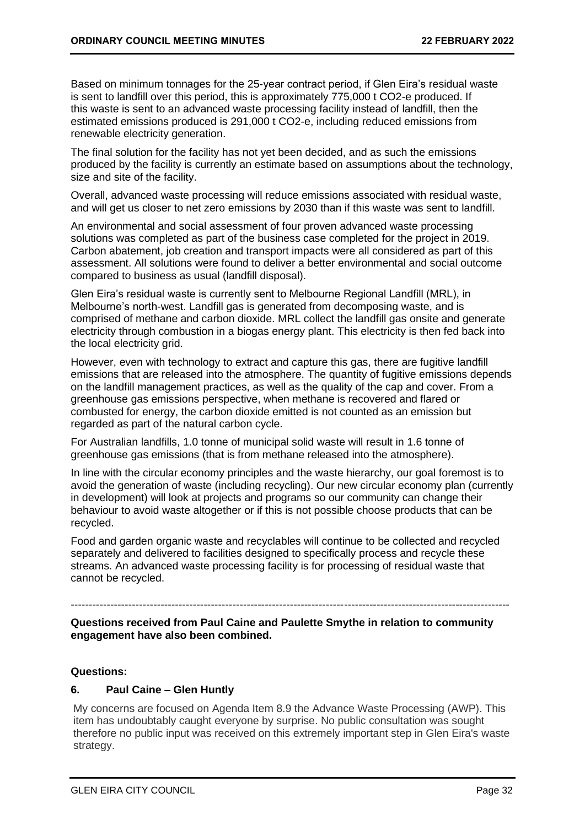Based on minimum tonnages for the 25-year contract period, if Glen Eira's residual waste is sent to landfill over this period, this is approximately 775,000 t CO2-e produced. If this waste is sent to an advanced waste processing facility instead of landfill, then the estimated emissions produced is 291,000 t CO2-e, including reduced emissions from renewable electricity generation.

The final solution for the facility has not yet been decided, and as such the emissions produced by the facility is currently an estimate based on assumptions about the technology, size and site of the facility.

Overall, advanced waste processing will reduce emissions associated with residual waste, and will get us closer to net zero emissions by 2030 than if this waste was sent to landfill.

An environmental and social assessment of four proven advanced waste processing solutions was completed as part of the business case completed for the project in 2019. Carbon abatement, job creation and transport impacts were all considered as part of this assessment. All solutions were found to deliver a better environmental and social outcome compared to business as usual (landfill disposal).

Glen Eira's residual waste is currently sent to Melbourne Regional Landfill (MRL), in Melbourne's north-west. Landfill gas is generated from decomposing waste, and is comprised of methane and carbon dioxide. MRL collect the landfill gas onsite and generate electricity through combustion in a biogas energy plant. This electricity is then fed back into the local electricity grid.

However, even with technology to extract and capture this gas, there are fugitive landfill emissions that are released into the atmosphere. The quantity of fugitive emissions depends on the landfill management practices, as well as the quality of the cap and cover. From a greenhouse gas emissions perspective, when methane is recovered and flared or combusted for energy, the carbon dioxide emitted is not counted as an emission but regarded as part of the natural carbon cycle.

For Australian landfills, 1.0 tonne of municipal solid waste will result in 1.6 tonne of greenhouse gas emissions (that is from methane released into the atmosphere).

In line with the circular economy principles and the waste hierarchy, our goal foremost is to avoid the generation of waste (including recycling). Our new circular economy plan (currently in development) will look at projects and programs so our community can change their behaviour to avoid waste altogether or if this is not possible choose products that can be recycled.

Food and garden organic waste and recyclables will continue to be collected and recycled separately and delivered to facilities designed to specifically process and recycle these streams. An advanced waste processing facility is for processing of residual waste that cannot be recycled.

## **Questions received from Paul Caine and Paulette Smythe in relation to community engagement have also been combined.**

--------------------------------------------------------------------------------------------------------------------------

## **Questions:**

## **6. Paul Caine – Glen Huntly**

My concerns are focused on Agenda Item 8.9 the Advance Waste Processing (AWP). This item has undoubtably caught everyone by surprise. No public consultation was sought therefore no public input was received on this extremely important step in Glen Eira's waste strategy.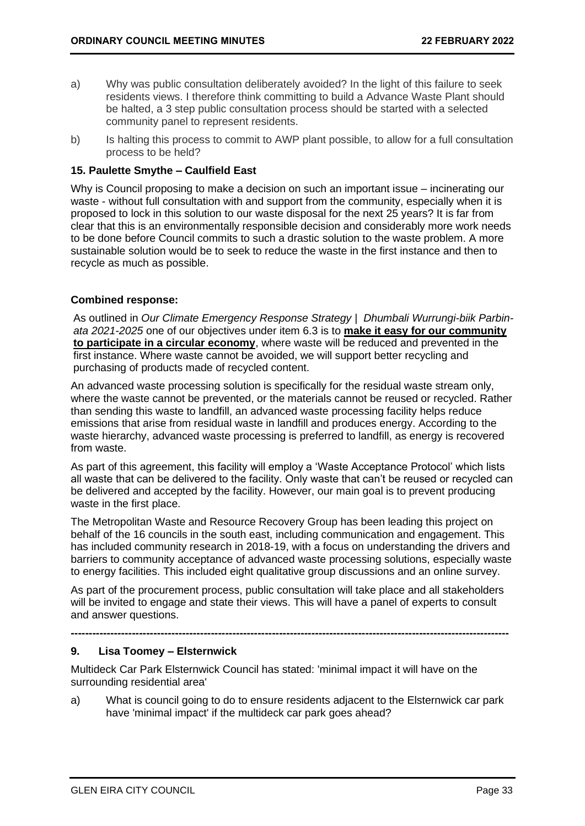- a) Why was public consultation deliberately avoided? In the light of this failure to seek residents views. I therefore think committing to build a Advance Waste Plant should be halted, a 3 step public consultation process should be started with a selected community panel to represent residents.
- b) Is halting this process to commit to AWP plant possible, to allow for a full consultation process to be held?

## **15. Paulette Smythe – Caulfield East**

Why is Council proposing to make a decision on such an important issue – incinerating our waste - without full consultation with and support from the community, especially when it is proposed to lock in this solution to our waste disposal for the next 25 years? It is far from clear that this is an environmentally responsible decision and considerably more work needs to be done before Council commits to such a drastic solution to the waste problem. A more sustainable solution would be to seek to reduce the waste in the first instance and then to recycle as much as possible.

## **Combined response:**

As outlined in *Our Climate Emergency Response Strategy | Dhumbali Wurrungi-biik Parbinata 2021-2025* one of our objectives under item 6.3 is to **make it easy for our community to participate in a circular economy**, where waste will be reduced and prevented in the first instance. Where waste cannot be avoided, we will support better recycling and purchasing of products made of recycled content.

An advanced waste processing solution is specifically for the residual waste stream only, where the waste cannot be prevented, or the materials cannot be reused or recycled. Rather than sending this waste to landfill, an advanced waste processing facility helps reduce emissions that arise from residual waste in landfill and produces energy. According to the waste hierarchy, advanced waste processing is preferred to landfill, as energy is recovered from waste.

As part of this agreement, this facility will employ a 'Waste Acceptance Protocol' which lists all waste that can be delivered to the facility. Only waste that can't be reused or recycled can be delivered and accepted by the facility. However, our main goal is to prevent producing waste in the first place.

The Metropolitan Waste and Resource Recovery Group has been leading this project on behalf of the 16 councils in the south east, including communication and engagement. This has included community research in 2018-19, with a focus on understanding the drivers and barriers to community acceptance of advanced waste processing solutions, especially waste to energy facilities. This included eight qualitative group discussions and an online survey.

As part of the procurement process, public consultation will take place and all stakeholders will be invited to engage and state their views. This will have a panel of experts to consult and answer questions.

**--------------------------------------------------------------------------------------------------------------------------**

## **9. Lisa Toomey – Elsternwick**

Multideck Car Park Elsternwick Council has stated: 'minimal impact it will have on the surrounding residential area'

a) What is council going to do to ensure residents adjacent to the Elsternwick car park have 'minimal impact' if the multideck car park goes ahead?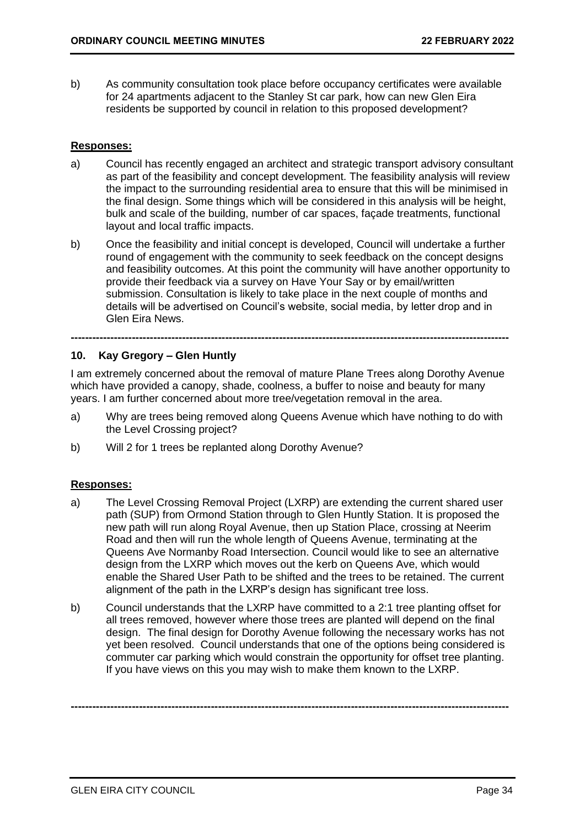b) As community consultation took place before occupancy certificates were available for 24 apartments adjacent to the Stanley St car park, how can new Glen Eira residents be supported by council in relation to this proposed development?

## **Responses:**

- a) Council has recently engaged an architect and strategic transport advisory consultant as part of the feasibility and concept development. The feasibility analysis will review the impact to the surrounding residential area to ensure that this will be minimised in the final design. Some things which will be considered in this analysis will be height, bulk and scale of the building, number of car spaces, façade treatments, functional layout and local traffic impacts.
- b) Once the feasibility and initial concept is developed, Council will undertake a further round of engagement with the community to seek feedback on the concept designs and feasibility outcomes. At this point the community will have another opportunity to provide their feedback via a survey on Have Your Say or by email/written submission. Consultation is likely to take place in the next couple of months and details will be advertised on Council's website, social media, by letter drop and in Glen Eira News.

## **10. Kay Gregory – Glen Huntly**

I am extremely concerned about the removal of mature Plane Trees along Dorothy Avenue which have provided a canopy, shade, coolness, a buffer to noise and beauty for many years. I am further concerned about more tree/vegetation removal in the area.

**--------------------------------------------------------------------------------------------------------------------------**

- a) Why are trees being removed along Queens Avenue which have nothing to do with the Level Crossing project?
- b) Will 2 for 1 trees be replanted along Dorothy Avenue?

## **Responses:**

- a) The Level Crossing Removal Project (LXRP) are extending the current shared user path (SUP) from Ormond Station through to Glen Huntly Station. It is proposed the new path will run along Royal Avenue, then up Station Place, crossing at Neerim Road and then will run the whole length of Queens Avenue, terminating at the Queens Ave Normanby Road Intersection. Council would like to see an alternative design from the LXRP which moves out the kerb on Queens Ave, which would enable the Shared User Path to be shifted and the trees to be retained. The current alignment of the path in the LXRP's design has significant tree loss.
- b) Council understands that the LXRP have committed to a 2:1 tree planting offset for all trees removed, however where those trees are planted will depend on the final design. The final design for Dorothy Avenue following the necessary works has not yet been resolved. Council understands that one of the options being considered is commuter car parking which would constrain the opportunity for offset tree planting. If you have views on this you may wish to make them known to the LXRP.

**--------------------------------------------------------------------------------------------------------------------------**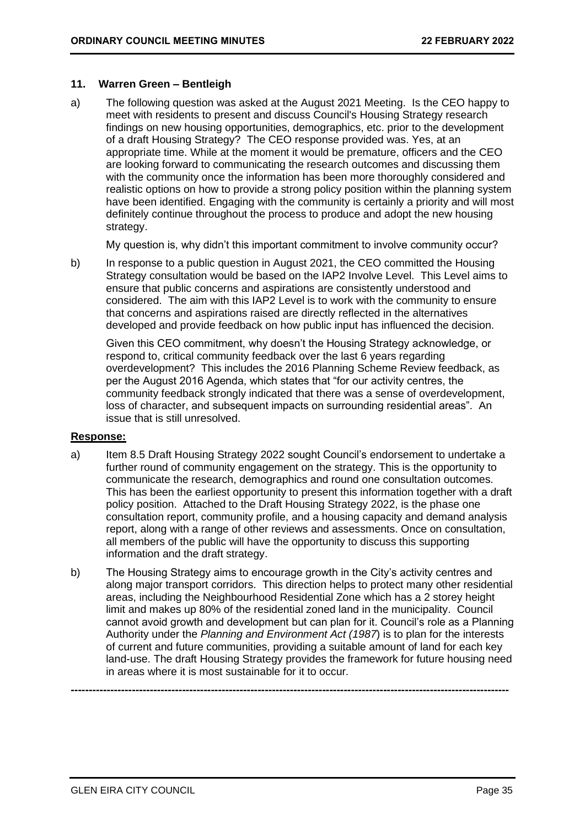## **11. Warren Green – Bentleigh**

a) The following question was asked at the August 2021 Meeting. Is the CEO happy to meet with residents to present and discuss Council's Housing Strategy research findings on new housing opportunities, demographics, etc. prior to the development of a draft Housing Strategy? The CEO response provided was. Yes, at an appropriate time. While at the moment it would be premature, officers and the CEO are looking forward to communicating the research outcomes and discussing them with the community once the information has been more thoroughly considered and realistic options on how to provide a strong policy position within the planning system have been identified. Engaging with the community is certainly a priority and will most definitely continue throughout the process to produce and adopt the new housing strategy.

My question is, why didn't this important commitment to involve community occur?

b) In response to a public question in August 2021, the CEO committed the Housing Strategy consultation would be based on the IAP2 Involve Level. This Level aims to ensure that public concerns and aspirations are consistently understood and considered. The aim with this IAP2 Level is to work with the community to ensure that concerns and aspirations raised are directly reflected in the alternatives developed and provide feedback on how public input has influenced the decision.

Given this CEO commitment, why doesn't the Housing Strategy acknowledge, or respond to, critical community feedback over the last 6 years regarding overdevelopment? This includes the 2016 Planning Scheme Review feedback, as per the August 2016 Agenda, which states that "for our activity centres, the community feedback strongly indicated that there was a sense of overdevelopment, loss of character, and subsequent impacts on surrounding residential areas". An issue that is still unresolved.

## **Response:**

- a) Item 8.5 Draft Housing Strategy 2022 sought Council's endorsement to undertake a further round of community engagement on the strategy. This is the opportunity to communicate the research, demographics and round one consultation outcomes. This has been the earliest opportunity to present this information together with a draft policy position. Attached to the Draft Housing Strategy 2022, is the phase one consultation report, community profile, and a housing capacity and demand analysis report, along with a range of other reviews and assessments. Once on consultation, all members of the public will have the opportunity to discuss this supporting information and the draft strategy.
- b) The Housing Strategy aims to encourage growth in the City's activity centres and along major transport corridors. This direction helps to protect many other residential areas, including the Neighbourhood Residential Zone which has a 2 storey height limit and makes up 80% of the residential zoned land in the municipality. Council cannot avoid growth and development but can plan for it. Council's role as a Planning Authority under the *Planning and Environment Act (1987*) is to plan for the interests of current and future communities, providing a suitable amount of land for each key land-use. The draft Housing Strategy provides the framework for future housing need in areas where it is most sustainable for it to occur.

**--------------------------------------------------------------------------------------------------------------------------**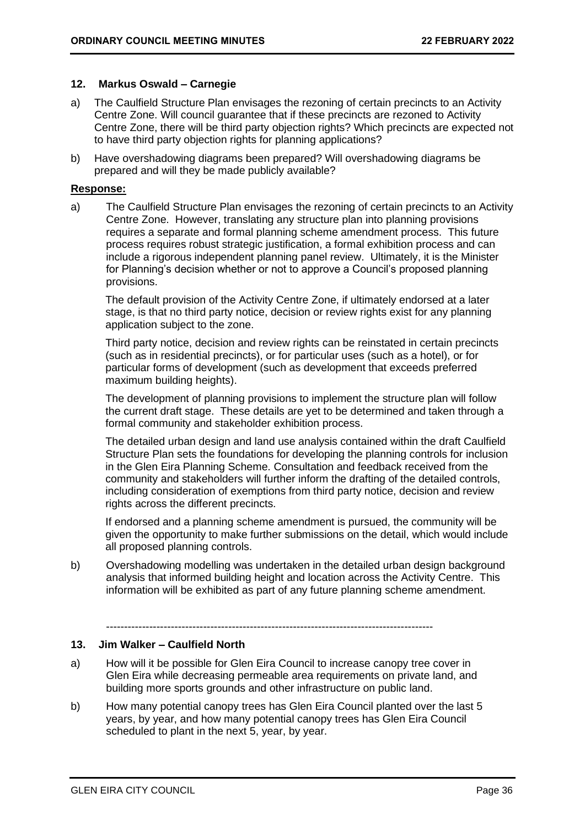## **12. Markus Oswald – Carnegie**

- a) The Caulfield Structure Plan envisages the rezoning of certain precincts to an Activity Centre Zone. Will council guarantee that if these precincts are rezoned to Activity Centre Zone, there will be third party objection rights? Which precincts are expected not to have third party objection rights for planning applications?
- b) Have overshadowing diagrams been prepared? Will overshadowing diagrams be prepared and will they be made publicly available?

## **Response:**

a) The Caulfield Structure Plan envisages the rezoning of certain precincts to an Activity Centre Zone. However, translating any structure plan into planning provisions requires a separate and formal planning scheme amendment process. This future process requires robust strategic justification, a formal exhibition process and can include a rigorous independent planning panel review. Ultimately, it is the Minister for Planning's decision whether or not to approve a Council's proposed planning provisions.

The default provision of the Activity Centre Zone, if ultimately endorsed at a later stage, is that no third party notice, decision or review rights exist for any planning application subject to the zone.

Third party notice, decision and review rights can be reinstated in certain precincts (such as in residential precincts), or for particular uses (such as a hotel), or for particular forms of development (such as development that exceeds preferred maximum building heights).

The development of planning provisions to implement the structure plan will follow the current draft stage. These details are yet to be determined and taken through a formal community and stakeholder exhibition process.

The detailed urban design and land use analysis contained within the draft Caulfield Structure Plan sets the foundations for developing the planning controls for inclusion in the Glen Eira Planning Scheme. Consultation and feedback received from the community and stakeholders will further inform the drafting of the detailed controls, including consideration of exemptions from third party notice, decision and review rights across the different precincts.

If endorsed and a planning scheme amendment is pursued, the community will be given the opportunity to make further submissions on the detail, which would include all proposed planning controls.

b) Overshadowing modelling was undertaken in the detailed urban design background analysis that informed building height and location across the Activity Centre. This information will be exhibited as part of any future planning scheme amendment.

-------------------------------------------------------------------------------------------

## **13. Jim Walker – Caulfield North**

- a) How will it be possible for Glen Eira Council to increase canopy tree cover in Glen Eira while decreasing permeable area requirements on private land, and building more sports grounds and other infrastructure on public land.
- b) How many potential canopy trees has Glen Eira Council planted over the last 5 years, by year, and how many potential canopy trees has Glen Eira Council scheduled to plant in the next 5, year, by year.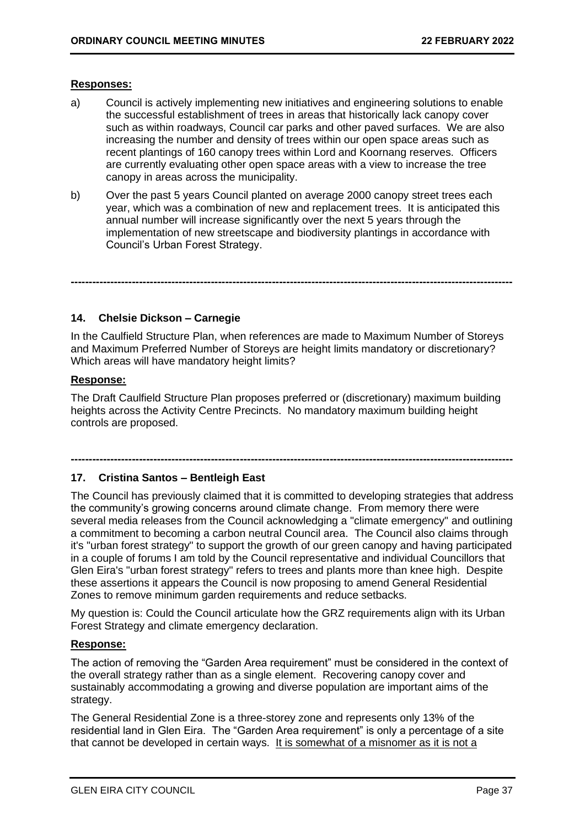## **Responses:**

- a) Council is actively implementing new initiatives and engineering solutions to enable the successful establishment of trees in areas that historically lack canopy cover such as within roadways, Council car parks and other paved surfaces. We are also increasing the number and density of trees within our open space areas such as recent plantings of 160 canopy trees within Lord and Koornang reserves. Officers are currently evaluating other open space areas with a view to increase the tree canopy in areas across the municipality.
- b) Over the past 5 years Council planted on average 2000 canopy street trees each year, which was a combination of new and replacement trees. It is anticipated this annual number will increase significantly over the next 5 years through the implementation of new streetscape and biodiversity plantings in accordance with Council's Urban Forest Strategy.

## **14. Chelsie Dickson – Carnegie**

In the Caulfield Structure Plan, when references are made to Maximum Number of Storeys and Maximum Preferred Number of Storeys are height limits mandatory or discretionary? Which areas will have mandatory height limits?

**---------------------------------------------------------------------------------------------------------------------------**

## **Response:**

The Draft Caulfield Structure Plan proposes preferred or (discretionary) maximum building heights across the Activity Centre Precincts. No mandatory maximum building height controls are proposed.

**---------------------------------------------------------------------------------------------------------------------------**

## **17. Cristina Santos – Bentleigh East**

The Council has previously claimed that it is committed to developing strategies that address the community's growing concerns around climate change. From memory there were several media releases from the Council acknowledging a "climate emergency" and outlining a commitment to becoming a carbon neutral Council area. The Council also claims through it's "urban forest strategy" to support the growth of our green canopy and having participated in a couple of forums I am told by the Council representative and individual Councillors that Glen Eira's "urban forest strategy" refers to trees and plants more than knee high. Despite these assertions it appears the Council is now proposing to amend General Residential Zones to remove minimum garden requirements and reduce setbacks.

My question is: Could the Council articulate how the GRZ requirements align with its Urban Forest Strategy and climate emergency declaration.

## **Response:**

The action of removing the "Garden Area requirement" must be considered in the context of the overall strategy rather than as a single element. Recovering canopy cover and sustainably accommodating a growing and diverse population are important aims of the strategy.

The General Residential Zone is a three-storey zone and represents only 13% of the residential land in Glen Eira. The "Garden Area requirement" is only a percentage of a site that cannot be developed in certain ways. It is somewhat of a misnomer as it is not a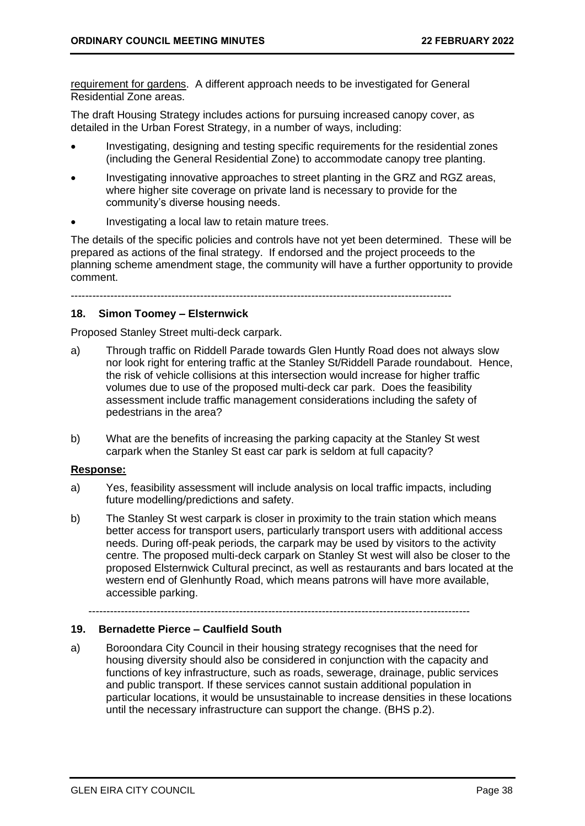requirement for gardens. A different approach needs to be investigated for General Residential Zone areas.

The draft Housing Strategy includes actions for pursuing increased canopy cover, as detailed in the Urban Forest Strategy, in a number of ways, including:

- Investigating, designing and testing specific requirements for the residential zones (including the General Residential Zone) to accommodate canopy tree planting.
- Investigating innovative approaches to street planting in the GRZ and RGZ areas, where higher site coverage on private land is necessary to provide for the community's diverse housing needs.
- Investigating a local law to retain mature trees.

The details of the specific policies and controls have not yet been determined. These will be prepared as actions of the final strategy. If endorsed and the project proceeds to the planning scheme amendment stage, the community will have a further opportunity to provide comment.

----------------------------------------------------------------------------------------------------------

## **18. Simon Toomey – Elsternwick**

Proposed Stanley Street multi-deck carpark.

- a) Through traffic on Riddell Parade towards Glen Huntly Road does not always slow nor look right for entering traffic at the Stanley St/Riddell Parade roundabout. Hence, the risk of vehicle collisions at this intersection would increase for higher traffic volumes due to use of the proposed multi-deck car park. Does the feasibility assessment include traffic management considerations including the safety of pedestrians in the area?
- b) What are the benefits of increasing the parking capacity at the Stanley St west carpark when the Stanley St east car park is seldom at full capacity?

## **Response:**

- a) Yes, feasibility assessment will include analysis on local traffic impacts, including future modelling/predictions and safety.
- b) The Stanley St west carpark is closer in proximity to the train station which means better access for transport users, particularly transport users with additional access needs. During off-peak periods, the carpark may be used by visitors to the activity centre. The proposed multi-deck carpark on Stanley St west will also be closer to the proposed Elsternwick Cultural precinct, as well as restaurants and bars located at the western end of Glenhuntly Road, which means patrons will have more available, accessible parking.

### ----------------------------------------------------------------------------------------------------------

## **19. Bernadette Pierce – Caulfield South**

a) Boroondara City Council in their housing strategy recognises that the need for housing diversity should also be considered in conjunction with the capacity and functions of key infrastructure, such as roads, sewerage, drainage, public services and public transport. If these services cannot sustain additional population in particular locations, it would be unsustainable to increase densities in these locations until the necessary infrastructure can support the change. (BHS p.2).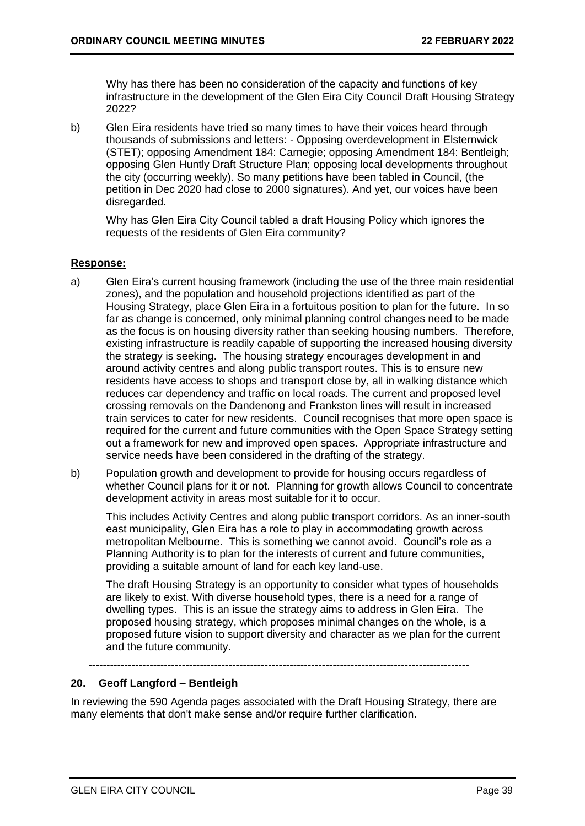Why has there has been no consideration of the capacity and functions of key infrastructure in the development of the Glen Eira City Council Draft Housing Strategy 2022?

b) Glen Eira residents have tried so many times to have their voices heard through thousands of submissions and letters: - Opposing overdevelopment in Elsternwick (STET); opposing Amendment 184: Carnegie; opposing Amendment 184: Bentleigh; opposing Glen Huntly Draft Structure Plan; opposing local developments throughout the city (occurring weekly). So many petitions have been tabled in Council, (the petition in Dec 2020 had close to 2000 signatures). And yet, our voices have been disregarded.

Why has Glen Eira City Council tabled a draft Housing Policy which ignores the requests of the residents of Glen Eira community?

## **Response:**

- a) Glen Eira's current housing framework (including the use of the three main residential zones), and the population and household projections identified as part of the Housing Strategy, place Glen Eira in a fortuitous position to plan for the future. In so far as change is concerned, only minimal planning control changes need to be made as the focus is on housing diversity rather than seeking housing numbers. Therefore, existing infrastructure is readily capable of supporting the increased housing diversity the strategy is seeking. The housing strategy encourages development in and around activity centres and along public transport routes. This is to ensure new residents have access to shops and transport close by, all in walking distance which reduces car dependency and traffic on local roads. The current and proposed level crossing removals on the Dandenong and Frankston lines will result in increased train services to cater for new residents. Council recognises that more open space is required for the current and future communities with the Open Space Strategy setting out a framework for new and improved open spaces. Appropriate infrastructure and service needs have been considered in the drafting of the strategy.
- b) Population growth and development to provide for housing occurs regardless of whether Council plans for it or not. Planning for growth allows Council to concentrate development activity in areas most suitable for it to occur.

This includes Activity Centres and along public transport corridors. As an inner-south east municipality, Glen Eira has a role to play in accommodating growth across metropolitan Melbourne. This is something we cannot avoid. Council's role as a Planning Authority is to plan for the interests of current and future communities, providing a suitable amount of land for each key land-use.

The draft Housing Strategy is an opportunity to consider what types of households are likely to exist. With diverse household types, there is a need for a range of dwelling types. This is an issue the strategy aims to address in Glen Eira. The proposed housing strategy, which proposes minimal changes on the whole, is a proposed future vision to support diversity and character as we plan for the current and the future community.

----------------------------------------------------------------------------------------------------------

## **20. Geoff Langford – Bentleigh**

In reviewing the 590 Agenda pages associated with the Draft Housing Strategy, there are many elements that don't make sense and/or require further clarification.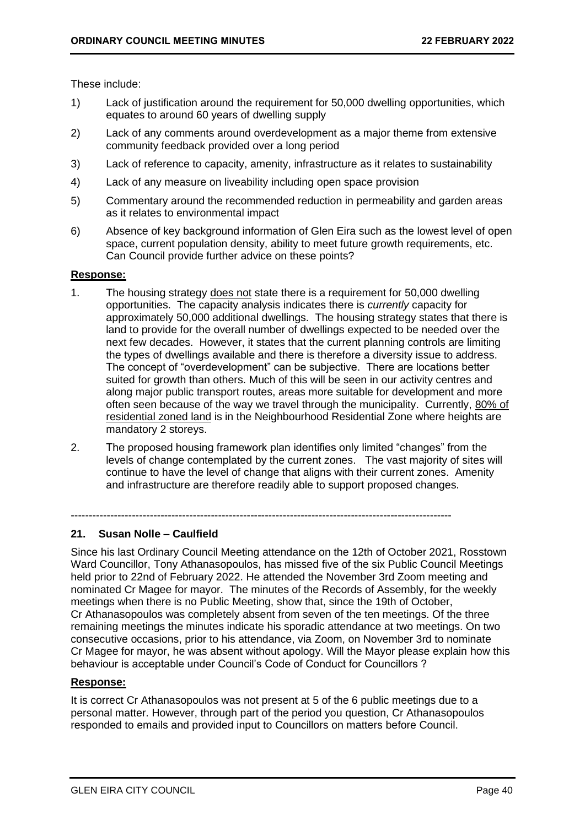These include:

- 1) Lack of justification around the requirement for 50,000 dwelling opportunities, which equates to around 60 years of dwelling supply
- 2) Lack of any comments around overdevelopment as a major theme from extensive community feedback provided over a long period
- 3) Lack of reference to capacity, amenity, infrastructure as it relates to sustainability
- 4) Lack of any measure on liveability including open space provision
- 5) Commentary around the recommended reduction in permeability and garden areas as it relates to environmental impact
- 6) Absence of key background information of Glen Eira such as the lowest level of open space, current population density, ability to meet future growth requirements, etc. Can Council provide further advice on these points?

## **Response:**

- 1. The housing strategy does not state there is a requirement for 50,000 dwelling opportunities. The capacity analysis indicates there is *currently* capacity for approximately 50,000 additional dwellings. The housing strategy states that there is land to provide for the overall number of dwellings expected to be needed over the next few decades. However, it states that the current planning controls are limiting the types of dwellings available and there is therefore a diversity issue to address. The concept of "overdevelopment" can be subjective. There are locations better suited for growth than others. Much of this will be seen in our activity centres and along major public transport routes, areas more suitable for development and more often seen because of the way we travel through the municipality. Currently, 80% of residential zoned land is in the Neighbourhood Residential Zone where heights are mandatory 2 storeys.
- 2. The proposed housing framework plan identifies only limited "changes" from the levels of change contemplated by the current zones. The vast majority of sites will continue to have the level of change that aligns with their current zones. Amenity and infrastructure are therefore readily able to support proposed changes.

----------------------------------------------------------------------------------------------------------

## **21. Susan Nolle – Caulfield**

Since his last Ordinary Council Meeting attendance on the 12th of October 2021, Rosstown Ward Councillor, Tony Athanasopoulos, has missed five of the six Public Council Meetings held prior to 22nd of February 2022. He attended the November 3rd Zoom meeting and nominated Cr Magee for mayor. The minutes of the Records of Assembly, for the weekly meetings when there is no Public Meeting, show that, since the 19th of October, Cr Athanasopoulos was completely absent from seven of the ten meetings. Of the three remaining meetings the minutes indicate his sporadic attendance at two meetings. On two consecutive occasions, prior to his attendance, via Zoom, on November 3rd to nominate Cr Magee for mayor, he was absent without apology. Will the Mayor please explain how this behaviour is acceptable under Council's Code of Conduct for Councillors ?

## **Response:**

It is correct Cr Athanasopoulos was not present at 5 of the 6 public meetings due to a personal matter. However, through part of the period you question, Cr Athanasopoulos responded to emails and provided input to Councillors on matters before Council.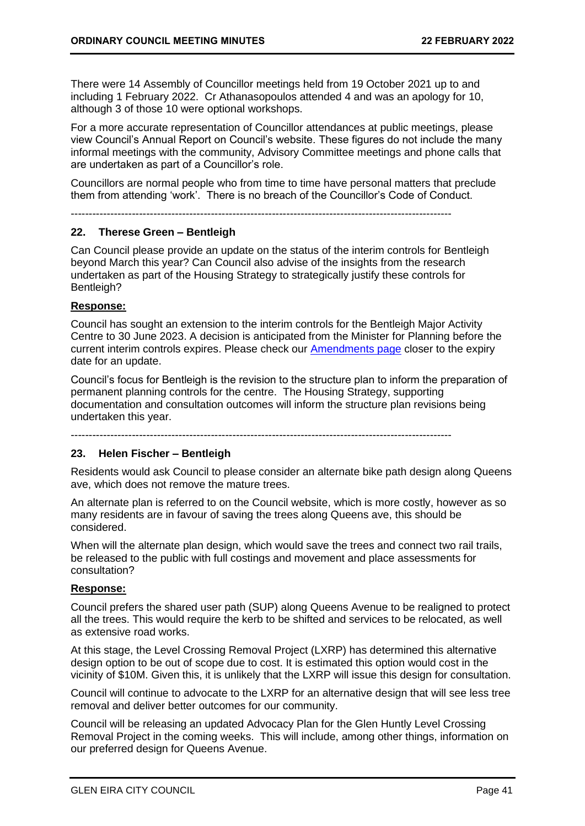There were 14 Assembly of Councillor meetings held from 19 October 2021 up to and including 1 February 2022. Cr Athanasopoulos attended 4 and was an apology for 10, although 3 of those 10 were optional workshops.

For a more accurate representation of Councillor attendances at public meetings, please view Council's Annual Report on Council's website. These figures do not include the many informal meetings with the community, Advisory Committee meetings and phone calls that are undertaken as part of a Councillor's role.

Councillors are normal people who from time to time have personal matters that preclude them from attending 'work'. There is no breach of the Councillor's Code of Conduct.

----------------------------------------------------------------------------------------------------------

## **22. Therese Green – Bentleigh**

Can Council please provide an update on the status of the interim controls for Bentleigh beyond March this year? Can Council also advise of the insights from the research undertaken as part of the Housing Strategy to strategically justify these controls for Bentleigh?

## **Response:**

Council has sought an extension to the interim controls for the Bentleigh Major Activity Centre to 30 June 2023. A decision is anticipated from the Minister for Planning before the current interim controls expires. Please check our [Amendments page](https://www.gleneira.vic.gov.au/services/planning-and-building/planning-scheme-and-amendments/current-planning-scheme-amendments) closer to the expiry date for an update.

Council's focus for Bentleigh is the revision to the structure plan to inform the preparation of permanent planning controls for the centre. The Housing Strategy, supporting documentation and consultation outcomes will inform the structure plan revisions being undertaken this year.

----------------------------------------------------------------------------------------------------------

## **23. Helen Fischer – Bentleigh**

Residents would ask Council to please consider an alternate bike path design along Queens ave, which does not remove the mature trees.

An alternate plan is referred to on the Council website, which is more costly, however as so many residents are in favour of saving the trees along Queens ave, this should be considered.

When will the alternate plan design, which would save the trees and connect two rail trails, be released to the public with full costings and movement and place assessments for consultation?

## **Response:**

Council prefers the shared user path (SUP) along Queens Avenue to be realigned to protect all the trees. This would require the kerb to be shifted and services to be relocated, as well as extensive road works.

At this stage, the Level Crossing Removal Project (LXRP) has determined this alternative design option to be out of scope due to cost. It is estimated this option would cost in the vicinity of \$10M. Given this, it is unlikely that the LXRP will issue this design for consultation.

Council will continue to advocate to the LXRP for an alternative design that will see less tree removal and deliver better outcomes for our community.

Council will be releasing an updated Advocacy Plan for the Glen Huntly Level Crossing Removal Project in the coming weeks. This will include, among other things, information on our preferred design for Queens Avenue.